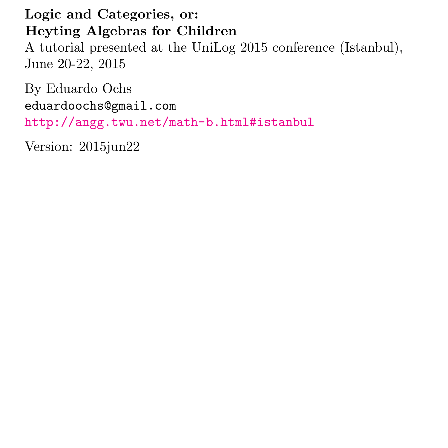Logic and Categories, or: Heyting Algebras for Children

A tutorial presented at the UniLog 2015 conference (Istanbul), June 20-22, 2015

By Eduardo Ochs eduardoochs@gmail.com <http://angg.twu.net/math-b.html#istanbul>

Version: 2015jun22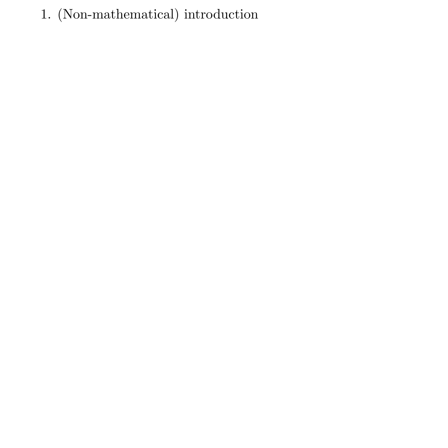# 1. (Non-mathematical) introduction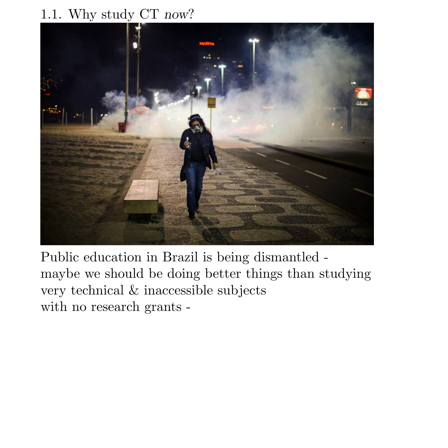## 1.1. Why study CT now?



Public education in Brazil is being dismantled maybe we should be doing better things than studying very technical & inaccessible subjects with no research grants -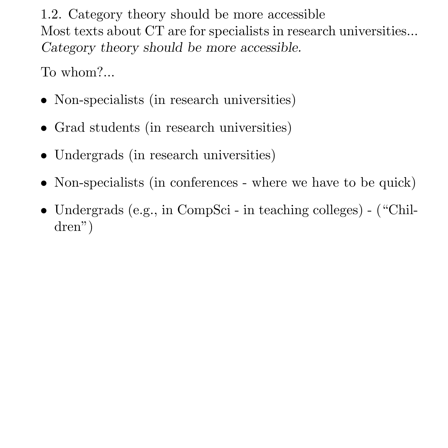1.2. Category theory should be more accessible Most texts about CT are for specialists in research universities... Category theory should be more accessible.

To whom?...

- Non-specialists (in research universities)
- Grad students (in research universities)
- Undergrads (in research universities)
- Non-specialists (in conferences where we have to be quick)
- Undergrads (e.g., in CompSci in teaching colleges) ("Children")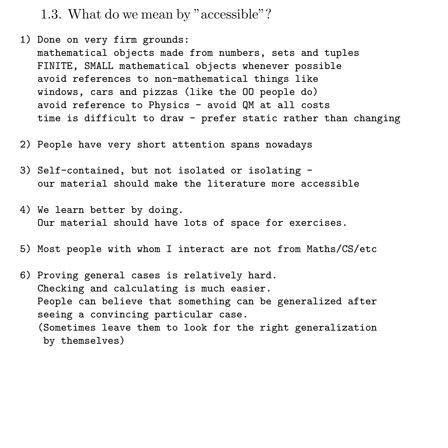- 1.3. What do we mean by "accessible"?
- 1) Done on very firm grounds: mathematical objects made from numbers, sets and tuples FINITE, SMALL mathematical objects whenever possible avoid references to non-mathematical things like windows, cars and pizzas (like the OO people do) avoid reference to Physics - avoid QM at all costs time is difficult to draw - prefer static rather than changing
- 2) People have very short attention spans nowadays
- 3) Self-contained, but not isolated or isolating our material should make the literature more accessible
- 4) We learn better by doing. Our material should have lots of space for exercises.
- 5) Most people with whom I interact are not from Maths/CS/etc
- 6) Proving general cases is relatively hard. Checking and calculating is much easier. People can believe that something can be generalized after seeing a convincing particular case. (Sometimes leave them to look for the right generalization by themselves)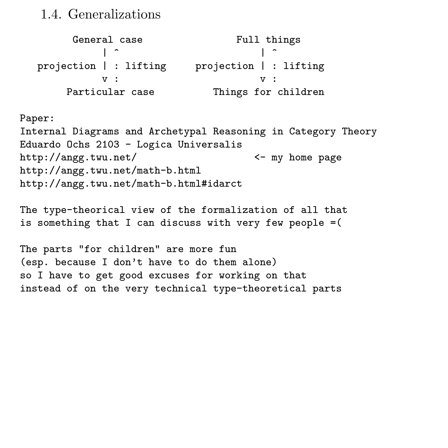#### 1.4. Generalizations

```
General case Full things
       \| \uparrow \|projection | : lifting projection | : lifting
       v : v : vParticular case Things for children
```
Paper:

Internal Diagrams and Archetypal Reasoning in Category Theory Eduardo Ochs 2103 - Logica Universalis http://angg.twu.net/ <- my home page http://angg.twu.net/math-b.html http://angg.twu.net/math-b.html#idarct

The type-theorical view of the formalization of all that is something that I can discuss with very few people =(

The parts "for children" are more fun (esp. because I don't have to do them alone) so I have to get good excuses for working on that instead of on the very technical type-theoretical parts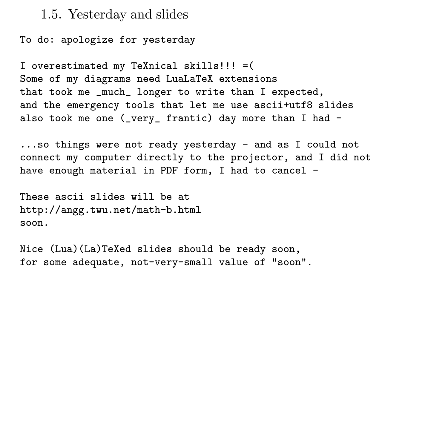1.5. Yesterday and slides

To do: apologize for yesterday

I overestimated my TeXnical skills!!! =( Some of my diagrams need LuaLaTeX extensions that took me much longer to write than I expected. and the emergency tools that let me use ascii+utf8 slides also took me one (\_very\_ frantic) day more than I had -

...so things were not ready yesterday - and as I could not connect my computer directly to the projector, and I did not have enough material in PDF form, I had to cancel -

These ascii slides will be at http://angg.twu.net/math-b.html soon.

Nice (Lua)(La)TeXed slides should be ready soon, for some adequate, not-very-small value of "soon".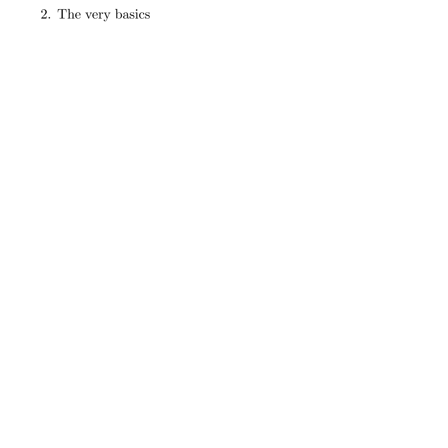# 2. The very basics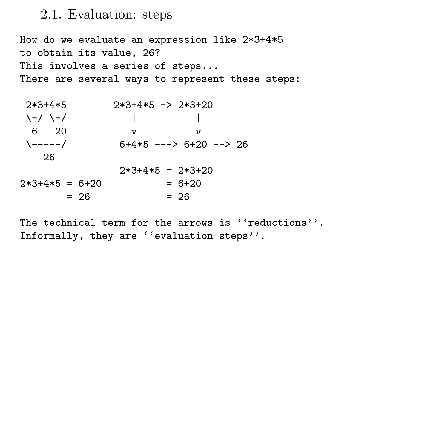#### 2.1. Evaluation: steps

How do we evaluate an expression like 2\*3+4\*5 to obtain its value, 26? This involves a series of steps... There are several ways to represent these steps:

 $2*3+4*5$  2\*3+4\*5 -> 2\*3+20<br>  $\{-\}$  | | \-/ \-/ | | 6 20 v v<br>  $\begin{array}{ccc} 6 & 20 & 0 & 0 \\ 6 & 6 & 6 & -2 \\ 6 & 6 & 6 & -2 \end{array}$  $6+4*5$  --->  $6+20$  --> 26 26  $2*3+4*5 = 2*3+20$  $2*3+4*5 = 6+20 = 6+20$  $= 26$   $= 26$ 

The technical term for the arrows is ''reductions''. Informally, they are ''evaluation steps''.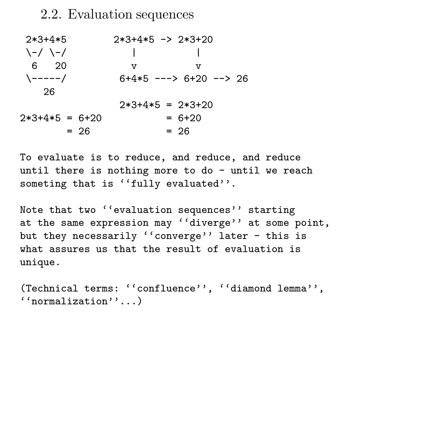#### 2.2. Evaluation sequences

 $2*3+4*5$  2\*3+4\*5 -> 2\*3+20  $\lambda$ -/  $\lambda$ -/  $\lambda$  | | 6 20 v v  $\leftarrow$  6+4\*5 ---> 6+20 --> 26 26  $2*3+4*5 = 2*3+20$  $2*3+4*5 = 6+20 = 6+20$  $= 26$   $= 26$ 

To evaluate is to reduce, and reduce, and reduce until there is nothing more to do - until we reach someting that is ''fully evaluated''.

Note that two ''evaluation sequences'' starting at the same expression may ''diverge'' at some point, but they necessarily ''converge'' later - this is what assures us that the result of evaluation is unique.

(Technical terms: ''confluence'', ''diamond lemma'', ''normalization''...)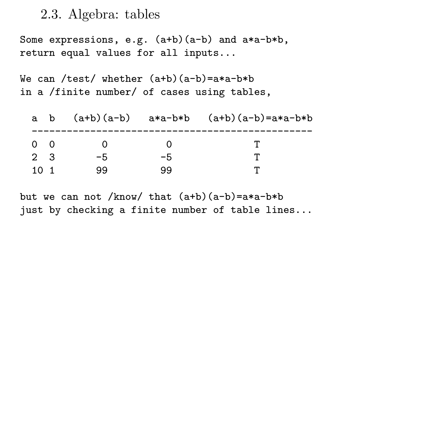2.3. Algebra: tables

Some expressions, e.g. (a+b)(a-b) and a\*a-b\*b, return equal values for all inputs...

We can /test/ whether (a+b)(a-b)=a\*a-b\*b in a /finite number/ of cases using tables,

| a b        | $(a+b)(a-b)$ $a*a-b*b$ |    | $(a+b)(a-b)=a*a-b*b$ |
|------------|------------------------|----|----------------------|
| $0\quad 0$ |                        |    |                      |
| 2 3        | -5                     | -5 |                      |
| 101        | 99                     | 99 |                      |

but we can not /know/ that (a+b)(a-b)=a\*a-b\*b just by checking a finite number of table lines...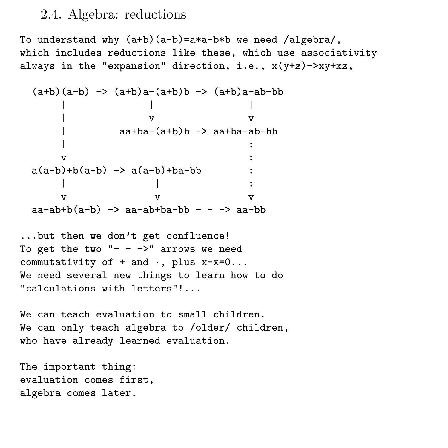#### 2.4. Algebra: reductions

To understand why  $(a+b)(a-b)=a*a-b*b$  we need /algebra/, which includes reductions like these, which use associativity always in the "expansion" direction, i.e., x(y+z)->xy+xz,

```
(a+b)(a-b) -> (a+b)a-(a+b)b -> (a+b)a-ab-bb| | |
   \mathbf v v v
         aa+ba-(a+b)b \rightarrow aa+ba-ab-bb| :
   \mathbf v :
a(a-b)+b(a-b) \rightarrow a(a-b)+ba-bb| | :
   v v v
aa-ab+b(a-b) \rightarrow aa-ab+ba-bb - - \rightarrow aa-bb
```
...but then we don't get confluence! To get the two  $"$ - - ->" arrows we need commutativity of  $+$  and  $\cdot$ , plus  $x-x=0...$ We need several new things to learn how to do "calculations with letters"!...

We can teach evaluation to small children. We can only teach algebra to /older/ children, who have already learned evaluation.

The important thing: evaluation comes first, algebra comes later.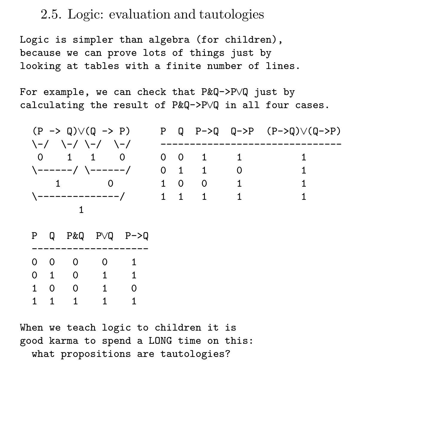### 2.5. Logic: evaluation and tautologies

Logic is simpler than algebra (for children), because we can prove lots of things just by looking at tables with a finite number of lines.

For example, we can check that P&Q->P∨Q just by calculating the result of P&Q->P∨Q in all four cases.

| $(P \rightarrow Q) \vee (Q \rightarrow P)$ |     |                | $P Q P->Q Q->P (P->Q) \vee (Q->P)$ |
|--------------------------------------------|-----|----------------|------------------------------------|
| \‐/ \‐/ \‐/ \‐/                            |     |                |                                    |
| 0 1 1 0                                    |     | 0 0 1          |                                    |
| \------/ \------/                          | O 1 | $\overline{1}$ |                                    |
| - റ<br>$1 \quad \cdots$                    | 1 O | $\circ$        |                                    |
| \--------------/                           |     | 1 1 1          |                                    |
|                                            |     |                |                                    |

| P        | O |   | $P\&Q \quad P\vee Q \quad P \rightarrow Q$ |   |
|----------|---|---|--------------------------------------------|---|
|          |   |   |                                            |   |
| $\Omega$ | 0 | 0 | ი                                          | 1 |
| $\Omega$ | 1 | 0 | 1                                          | 1 |
| 1        | 0 | 0 | 1                                          | 0 |
| 1.       | 1 | 1 | 1                                          | 1 |

When we teach logic to children it is good karma to spend a LONG time on this: what propositions are tautologies?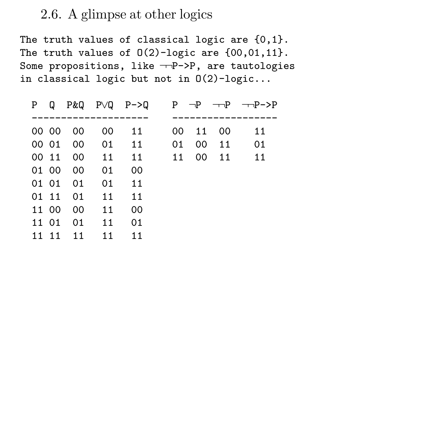### 2.6. A glimpse at other logics

The truth values of classical logic are {0,1}. The truth values of  $0(2)$ -logic are  $\{00, 01, 11\}$ . Some propositions, like  $\neg P \rightarrow P$ , are tautologies in classical logic but not in O(2)-logic...

|       |             |             |                         |  |          | P Q P&Q P $\vee$ Q P $\rightarrow$ Q P $\rightarrow$ P $\rightarrow$ P $\rightarrow$ P $\rightarrow$ P |
|-------|-------------|-------------|-------------------------|--|----------|--------------------------------------------------------------------------------------------------------|
|       |             |             |                         |  |          |                                                                                                        |
|       |             |             | 00 00 00 00 11          |  | 00 11 00 | 11                                                                                                     |
|       |             |             | 00 01 00 01 11          |  | 01 00 11 | 01                                                                                                     |
|       |             |             | 00 11 00 11 11 11 00 11 |  |          | 11                                                                                                     |
|       |             | 01 00 00 01 | 00                      |  |          |                                                                                                        |
|       |             | 01 01 01 01 | 11                      |  |          |                                                                                                        |
|       |             | 01 11 01 11 | 11                      |  |          |                                                                                                        |
|       | 11 00 00 11 |             | 00                      |  |          |                                                                                                        |
|       | 11 01 01 11 |             | 01                      |  |          |                                                                                                        |
| 11 11 | 11          | 11          | 11                      |  |          |                                                                                                        |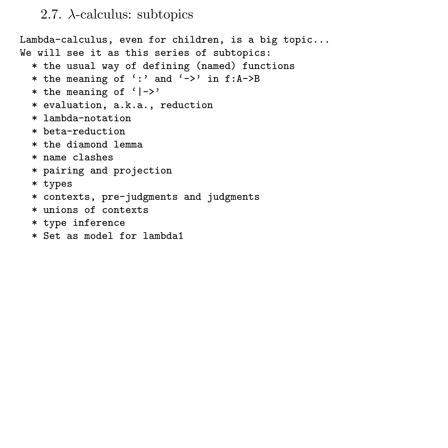#### 2.7.  $\lambda$ -calculus: subtopics

Lambda-calculus, even for children, is a big topic... We will see it as this series of subtopics:

- \* the usual way of defining (named) functions
- \* the meaning of ':' and '->' in f:A->B
- $*$  the meaning of  $'$ |->'
- \* evaluation, a.k.a., reduction
- \* lambda-notation
- \* beta-reduction
- \* the diamond lemma
- \* name clashes
- \* pairing and projection
- \* types
- \* contexts, pre-judgments and judgments
- \* unions of contexts
- \* type inference
- \* Set as model for lambda1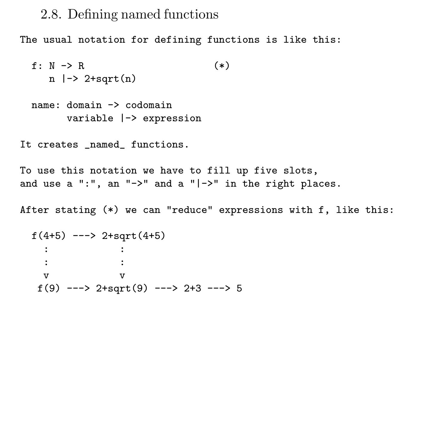#### 2.8. Defining named functions

The usual notation for defining functions is like this:

f:  $N \rightarrow R$  (\*)  $n$   $\rightarrow$  2+sqrt $(n)$ name: domain -> codomain variable |-> expression

It creates named functions.

To use this notation we have to fill up five slots, and use a ":", an " $\rightarrow$ " and a " $\rightarrow$ " in the right places.

After stating (\*) we can "reduce" expressions with f, like this:

```
f(4+5) ---> 2+sqrt(4+5)
 : :
 : :
 v v
f(9) ---> 2+sqrt(9) ---> 2+3 ---> 5
```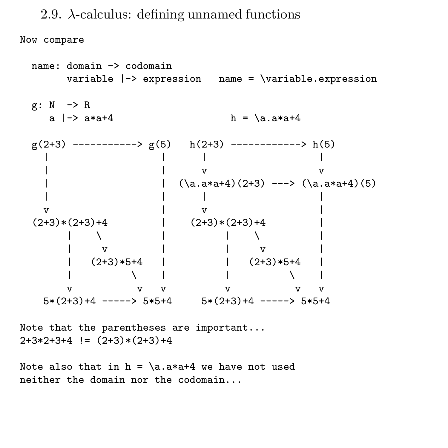### 2.9.  $\lambda$ -calculus: defining unnamed functions

Now compare name: domain -> codomain variable |-> expression name = \variable.expression g:  $N \rightarrow R$ <br>a  $\rightarrow$  a\*a+4  $h = \a. a* a+4$  $g(2+3)$  ----------->  $g(5)$  h(2+3) ------------> h(5) | | | | | | v v  $(\a_{a}.a*a+4)(2+3)$  --->  $(\a_{a}.a*a+4)(5)$ | | | |  $\mathsf{v}$  |  $\mathsf{v}$  |  $\mathsf{v}$  $(2+3)*(2+3)+4$  |  $(2+3)*(2+3)+4$ | \ | | \ | | v | | v |  $(2+3)*5+4$  |  $(2+3)*5+4$ | \ | | \ | v v v v v v  $5*(2+3)+4$  ----->  $5*5+4$   $5*(2+3)+4$  ----->  $5*5+4$ 

Note that the parentheses are important...  $2+3*2+3+4$  !=  $(2+3)*(2+3)+4$ 

Note also that in  $h = \a. a * a + 4$  we have not used neither the domain nor the codomain...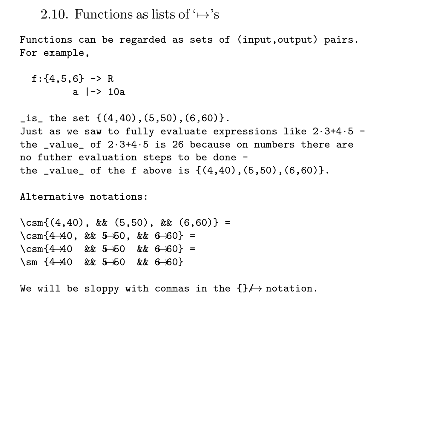2.10. Functions as lists of  $\leftrightarrow$ 's

Functions can be regarded as sets of (input,output) pairs. For example,

```
f: {4.5.6} \rightarrow Ra |-> 10a
```

```
_is the set \{(4,40), (5,50), (6,60)\}.Just as we saw to fully evaluate expressions like 2.3 + 4.5 -
the value of 2.3+4.5 is 26 because on numbers there are
no futher evaluation steps to be done -
the _value_ of the f above is \{(4,40), (5,50), (6,60)\}.
```
Alternative notations:

 $\csc(4, 40)$ , && (5,50), && (6,60)} =  $\cos(4-40, \&& 5-50, \&& 6-60$  =  $\text{Csm}(4\text{--}40$  &&  $5\text{--}50$  &&  $6\text{--}60$ } = \sm  $\{4\overline{40}$  & 5 +50 & 6 +60}

We will be sloppy with commas in the  $\{\}\not\mapsto$  notation.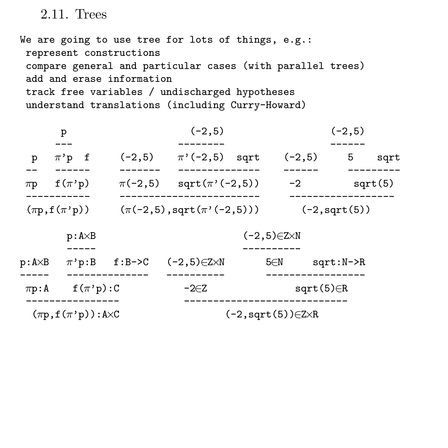2.11. Trees

We are going to use tree for lots of things, e.g.: represent constructions compare general and particular cases (with parallel trees) add and erase information track free variables / undischarged hypotheses understand translations (including Curry-Howard)

|                                                      | p                    |             | $(-2.5)$                         |      |                               | $(-2, 5)$        |         |
|------------------------------------------------------|----------------------|-------------|----------------------------------|------|-------------------------------|------------------|---------|
| p                                                    | $\pi$ 'p f           | $(-2,5)$    | $\pi'(-2,5)$                     | sqrt | $(-2,5)$                      | 5                | sqrt    |
| $\pi p$                                              | $f(\pi'$ p)          | $\pi(-2,5)$ | $sqrt(\pi'(-2,5))$               |      | $-2$                          |                  | sqrt(5) |
|                                                      | $(\pi p, f(\pi' p))$ |             | $(\pi(-2,5), \sqrt{\pi(-2,5)}))$ |      |                               | $(-2, \sqrt{5})$ |         |
|                                                      | $p: A \times B$      |             |                                  |      | $(-2,5) \in Z \times N$       |                  |         |
| p:A×B                                                | $\pi$ 'p:B           | $f : B->C$  | $(-2,5) \in Z \times N$          |      | 5∈N                           | $sqrt: N->R$     |         |
| $\pi p:A$                                            | $f(\pi'p):C$         |             | $-2 \in \mathbb{Z}$              |      | $sqrt(5) \in R$               |                  |         |
| -------------<br>$(\pi p, f(\pi' p))$ : A $\times$ C |                      |             |                                  |      | $(-2, \sqrt{5})\in Z\times R$ |                  |         |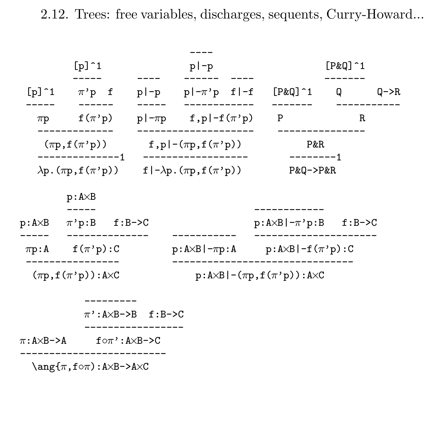2.12. Trees: free variables, discharges, sequents, Curry-Howard...

|          | $[p]$ ^1                                                               |                                | $p -p$ |                                                                | $[P&Q]$ $\hat{1}$ |      |
|----------|------------------------------------------------------------------------|--------------------------------|--------|----------------------------------------------------------------|-------------------|------|
| $[p]$ ^1 | $\pi$ 'p f                                                             |                                |        | $p -p$ $p - \pi$ 'p f -f [P&Q]^1 Q                             |                   | Q->R |
|          | $\pi p$ $f(\pi^p)$ $p \neg \pi p$ $f, p \neg f(\pi^p)$                 |                                |        | P                                                              |                   | R    |
|          | $(\pi p, f(\pi' p))$ $f, p   - (\pi p, f(\pi' p))$                     |                                |        | P&R<br>--------1                                               |                   |      |
|          | $\lambda p. (\pi p, f(\pi' p))$ $f   -\lambda p. (\pi p, f(\pi' p))$   |                                |        | P&Q->P&R                                                       |                   |      |
|          | $p: A \times B$                                                        |                                |        |                                                                |                   |      |
|          | $p:A\times B$ $\pi$ 'p:B f:B->C                                        |                                |        | $p: A \times B   -\pi' p: B$ f:B->C                            |                   |      |
|          | $\pi p:A$ $f(\pi^p p):C$                                               |                                |        | $p: A \times B$  - $\pi p: A$ $p: A \times B$  - $f(\pi p): C$ |                   |      |
|          | $(\pi p, f(\pi' p))$ : A $\times$ C                                    |                                |        | $p: A \times B \mid -(\pi p, f(\pi' p)): A \times C$           |                   |      |
|          |                                                                        | $\pi$ ':A $\times$ B->B f:B->C |        |                                                                |                   |      |
|          | $\pi$ :A $\times$ B->A fo $\pi$ ':A $\times$ B->C                      |                                |        |                                                                |                   |      |
|          | $\langle \arg\{\pi, f \circ \pi\} : A \times B \rightarrow A \times C$ |                                |        |                                                                |                   |      |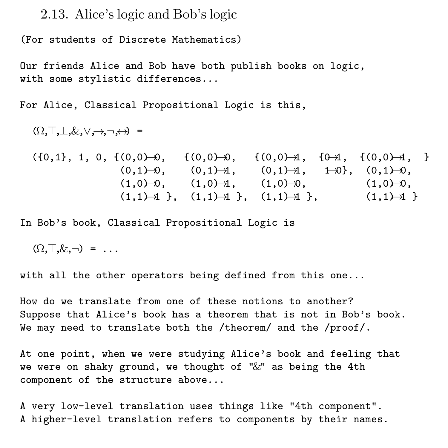2.13. Alice's logic and Bob's logic

(For students of Discrete Mathematics)

Our friends Alice and Bob have both publish books on logic, with some stylistic differences...

For Alice, Classical Propositional Logic is this,

$$
(\Omega,\top,\bot,\&,\vee,\rightarrow,\neg,\leftrightarrow)
$$

 $({0,1}, 1, 0, {(0,0)}0, {(0,0)}0, {(0,0)}1, {0,1}, {(0,0)}1,$  $(0,1)$  $\rightarrow$ 0,  $(0,1)$  $\rightarrow$ 1,  $(0,1)$  $\rightarrow$ 1,  $1\rightarrow$ 0},  $(0,1)$  $\rightarrow$ 0,  $(1,0)$  $\rightarrow$ 0,  $(1,0)$  $\rightarrow$ 1,  $(1,0)$  $\rightarrow$ 0,  $(1,0)$  $\rightarrow$ 0,  $(1,1)$ →1 },  $(1,1)$ →1 },  $(1,1)$ →1 },  $(1,1)$ →1 }

In Bob's book, Classical Propositional Logic is

 $(\Omega, \top, \&, \neg) = \dots$ 

with all the other operators being defined from this one...

How do we translate from one of these notions to another? Suppose that Alice's book has a theorem that is not in Bob's book. We may need to translate both the /theorem/ and the /proof/.

At one point, when we were studying Alice's book and feeling that we were on shaky ground, we thought of "&" as being the 4th component of the structure above...

A very low-level translation uses things like "4th component". A higher-level translation refers to components by their names.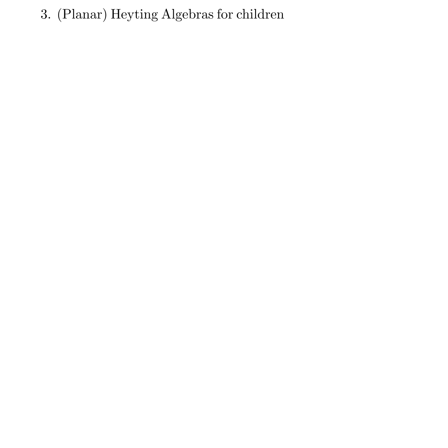# 3. (Planar) Heyting Algebras for children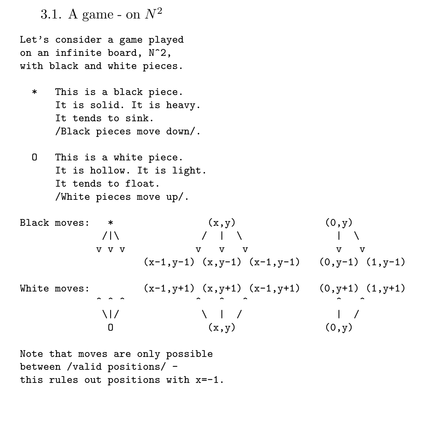3.1. A game - on  $N^2$ 

Let's consider a game played on an infinite board, N^2, with black and white pieces.

- \* This is a black piece. It is solid. It is heavy. It tends to sink. /Black pieces move down/.
- O This is a white piece. It is hollow. It is light. It tends to float. /White pieces move up/.

| Black moves:  | *             | $(x,y)$       | $(0,y)$   |           |
|---------------|---------------|---------------|-----------|-----------|
| $/ $          | $/ $          | $ $           |           |           |
| $v \, v \, v$ | $v \, v \, v$ | $v \, v \, v$ |           |           |
| $(x-1,y-1)$   | $(x,y-1)$     | $(x-1,y-1)$   | $(0,y-1)$ | $(1,y-1)$ |

\nWhite moves:

\n

| $(x-1,y+1)$ | $(x,y+1)$ | $(0,y+1)$ | $(1,y+1)$ |
|-------------|-----------|-----------|-----------|
| $ $         | $ $       | $ $       |           |
| $ $         | $ $       | $ $       |           |
| $ $         | $ $       | $ $       |           |
| $ $         | $ $       | $ $       |           |
| $ $         | $ $       | $ $       |           |
| $ $         | $ $       | $ $       |           |

Note that moves are only possible between /valid positions/ this rules out positions with x=-1.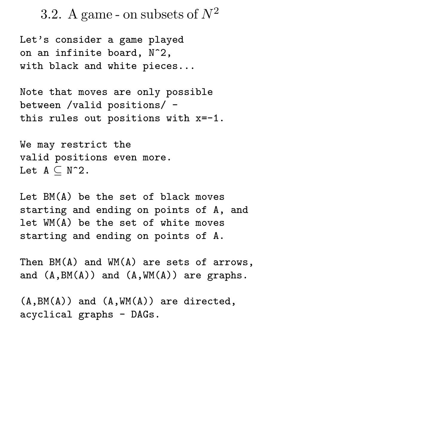3.2. A game - on subsets of  $N^2$ 

Let's consider a game played on an infinite board, N^2, with black and white pieces...

Note that moves are only possible between /valid positions/ this rules out positions with x=-1.

We may restrict the valid positions even more. Let  $A \subseteq N^2$ .

Let BM(A) be the set of black moves starting and ending on points of A, and let WM(A) be the set of white moves starting and ending on points of A.

Then  $BM(A)$  and  $WM(A)$  are sets of arrows, and  $(A,BM(A))$  and  $(A,WM(A))$  are graphs.

 $(A,BM(A))$  and  $(A,WM(A))$  are directed, acyclical graphs - DAGs.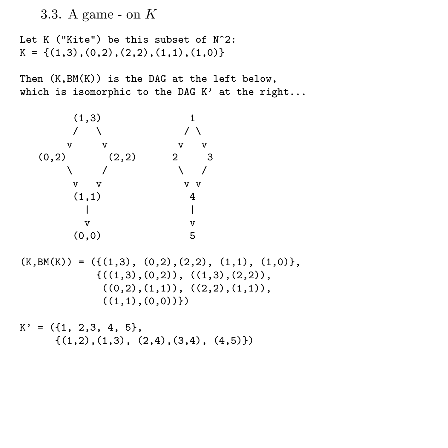3.3. A game - on  $K$ 

Let K ("Kite") be this subset of N^2:  $K = \{(1,3), (0,2), (2,2), (1,1), (1,0)\}$ 

Then (K,BM(K)) is the DAG at the left below, which is isomorphic to the DAG  $K'$  at the right...

 $(1,3)$  1 / \ / \ v v v v  $(0,2)$   $(2,2)$  2 3 \ / \ / v v v v  $(1,1)$  4  $\begin{array}{c|c}\n \cdot & 4 \\
 1,1) & 4\n \end{array}$ v v  $(0,0)$  5  $(K, BM(K)) = ({(1,3), (0,2), (2,2), (1,1), (1,0)}$  ${((1,3),(0,2))}, (1,3),(2,2)),$  $((0,2),(1,1)), ((2,2),(1,1)),$  $((1,1),(0,0))$  $K' = (\{1, 2, 3, 4, 5\},\)$ 

 $\{(1,2),(1,3), (2,4),(3,4), (4,5)\}\)$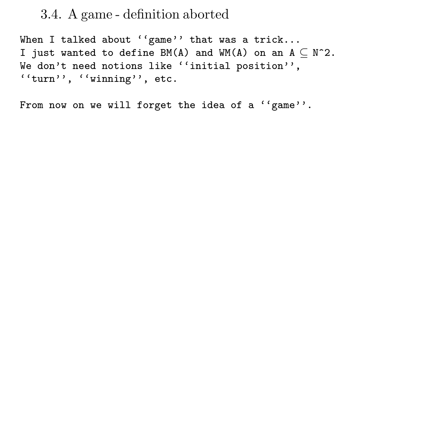## 3.4. A game - definition aborted

When I talked about ''game'' that was a trick... I just wanted to define  $BM(A)$  and  $WM(A)$  on an  $A \subseteq N^2$ . We don't need notions like ''initial position'', ''turn'', ''winning'', etc.

From now on we will forget the idea of a ''game''.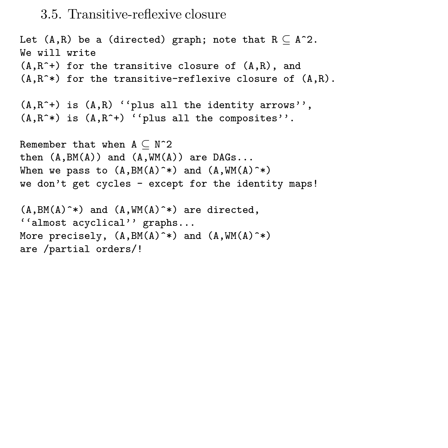#### 3.5. Transitive-reflexive closure

```
Let (A,R) be a (directed) graph; note that R \subseteq A^2.
We will write
(A, R^+) for the transitive closure of (A, R), and
(A, R^* ) for the transitive-reflexive closure of (A, R).
(A, R^+) is (A, R) ''plus all the identity arrows'',
(A, R^* ) is (A, R^* ) ''plus all the composites''.
Remember that when A \subseteq N^22then (A,BM(A)) and (A,WM(A)) are DAGs...When we pass to (A,BM(A)^**) and (A,WM(A)^**)we don't get cycles - except for the identity maps!
(A,BM(A)^* ) and (A,WM(A)^* ) are directed,
''almost acyclical'' graphs...
More precisely, (A, BM(A)^* ) and (A, WM(A)^* )are /partial orders/!
```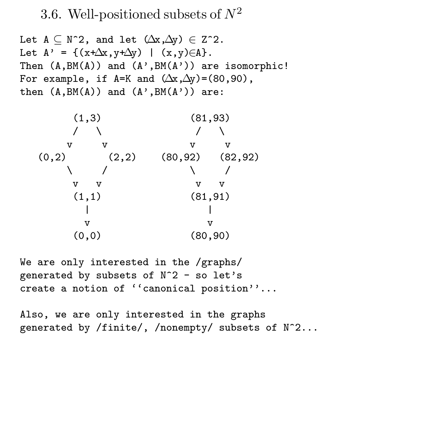## 3.6. Well-positioned subsets of  $N^2$

Let  $A \subseteq N^2$ , and let  $(\Delta x, \Delta y) \in Z^2$ . Let  $A' = \{(x + \Delta x, y + \Delta y) | (x, y) \in A\}.$ Then  $(A, BM(A))$  and  $(A', BM(A'))$  are isomorphic! For example, if A=K and  $(\Delta x, \Delta y)$ =(80,90), then  $(A,BM(A))$  and  $(A',BM(A'))$  are:

| (1,3)            | (81, 93)              |  |  |  |
|------------------|-----------------------|--|--|--|
|                  |                       |  |  |  |
| v<br>v           | v<br>v                |  |  |  |
| (0, 2)<br>(2, 2) | $(80, 92)$ $(82, 92)$ |  |  |  |
|                  |                       |  |  |  |
| v<br>v           | v<br>v                |  |  |  |
| (1,1)            | (81, 91)              |  |  |  |
|                  |                       |  |  |  |
| v                | v                     |  |  |  |
| (0,0)            | (80, 90)              |  |  |  |

We are only interested in the /graphs/ generated by subsets of N^2 - so let's create a notion of ''canonical position''...

Also, we are only interested in the graphs generated by /finite/, /nonempty/ subsets of N^2...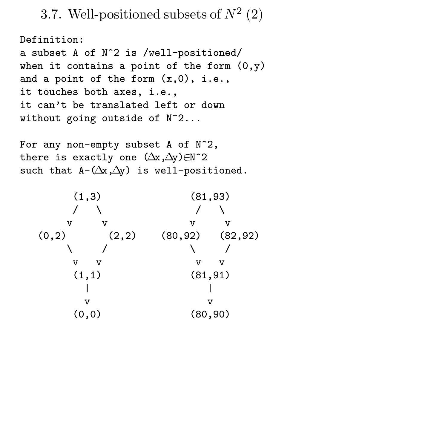3.7. Well-positioned subsets of  $N^2$  (2)

Definition: a subset A of N^2 is /well-positioned/ when it contains a point of the form  $(0,y)$ and a point of the form  $(x,0)$ , i.e., it touches both axes, i.e., it can't be translated left or down without going outside of N^2...

For any non-empty subset A of N^2, there is exactly one  $(\Delta x, \Delta y) \in N^22$ such that  $A - (\Delta x, \Delta y)$  is well-positioned.

| (1,3)            | (81, 93)              |  |  |  |
|------------------|-----------------------|--|--|--|
|                  |                       |  |  |  |
| v<br>v           | v<br>v                |  |  |  |
| (0, 2)<br>(2, 2) | $(80, 92)$ $(82, 92)$ |  |  |  |
|                  |                       |  |  |  |
| v<br>v           | v<br>v                |  |  |  |
| (1,1)            | (81, 91)              |  |  |  |
|                  | v                     |  |  |  |
| v                |                       |  |  |  |
| (0, 0)           | (80, 90)              |  |  |  |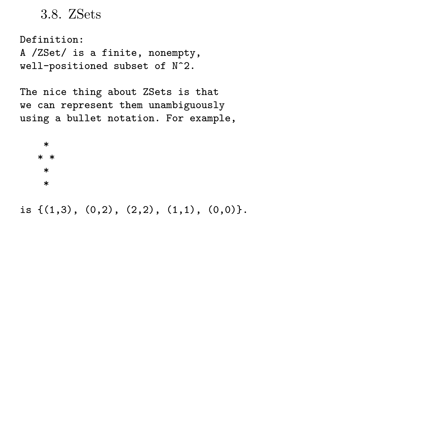3.8. ZSets

Definition: A /ZSet/ is a finite, nonempty, well-positioned subset of N^2.

The nice thing about ZSets is that we can represent them unambiguously using a bullet notation. For example,

\* \* \* \* \*

is  $\{(1,3), (0,2), (2,2), (1,1), (0,0)\}.$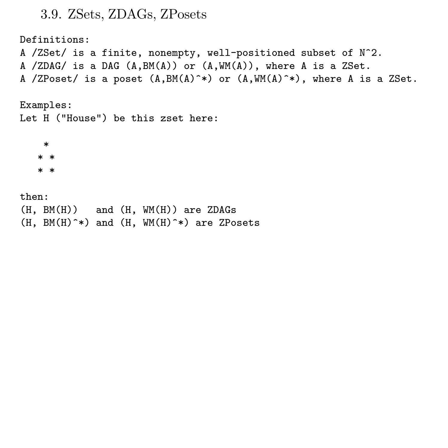3.9. ZSets, ZDAGs, ZPosets

Definitions: A /ZSet/ is a finite, nonempty, well-positioned subset of N^2. A /ZDAG/ is a DAG (A,BM(A)) or (A,WM(A)), where A is a ZSet. A /ZPoset/ is a poset  $(A, BM(A)^* )$  or  $(A, WM(A)^* )$ , where A is a ZSet. Examples: Let H ("House") be this zset here: \* \* \* \* \* then:  $(H. BM(H))$  and  $(H. WM(H))$  are ZDAGs  $(H, BM(H)^* )$  and  $(H, WM(H)^* )$  are ZPosets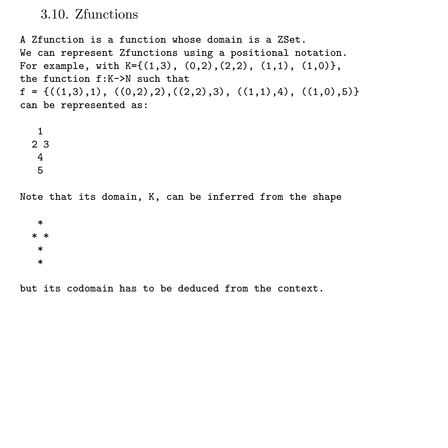#### 3.10. Zfunctions

A Zfunction is a function whose domain is a ZSet. We can represent Zfunctions using a positional notation. For example, with  $K=\{(1,3), (0,2), (2,2), (1,1), (1,0)\},$ the function f:K->N such that  $f = \{((1,3),1), ((0,2),2), ((2,2),3), ((1,1),4), ((1,0),5)\}\$ can be represented as: 1  $2<sub>3</sub>$ 4 5 Note that its domain, K, can be inferred from the shape \* \* \* \* \*

but its codomain has to be deduced from the context.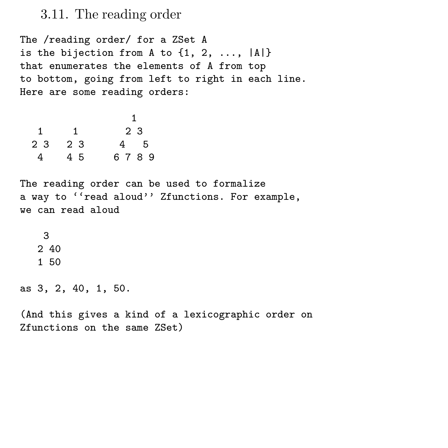#### 3.11. The reading order

The /reading order/ for a ZSet A is the bijection from A to  $\{1, 2, \ldots, |A|\}$ that enumerates the elements of A from top to bottom, going from left to right in each line. Here are some reading orders:

|    |                | 1              |
|----|----------------|----------------|
| 1  | 1              | 2 <sub>3</sub> |
| 23 | 2 <sub>3</sub> | 5<br>4         |
| 4  | 45             | 6789           |

```
The reading order can be used to formalize
a way to ''read aloud'' Zfunctions. For example,
we can read aloud
```
as 3, 2, 40, 1, 50.

(And this gives a kind of a lexicographic order on Zfunctions on the same ZSet)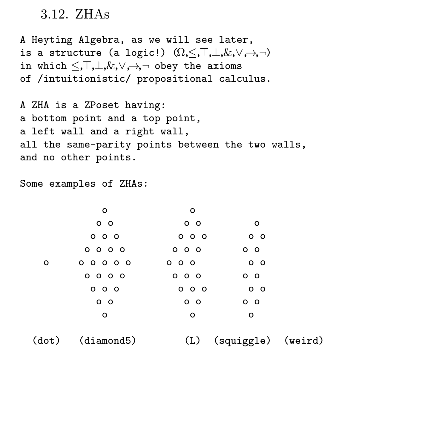3.12. ZHAs

A Heyting Algebra, as we will see later, is a structure (a logic!)  $(Ω, <, T, \bot, & >, \neg)$ in which  $\leq, \top, \bot, \&, \vee, \rightarrow, \neg$  obey the axioms of /intuitionistic/ propositional calculus.

A ZHA is a ZPoset having: a bottom point and a top point, a left wall and a right wall, all the same-parity points between the two walls, and no other points.

Some examples of ZHAs:

|       | o              | o                 |                    |  |
|-------|----------------|-------------------|--------------------|--|
|       | 0 <sub>o</sub> | 0 <sub>o</sub>    | $\circ$            |  |
|       | 000            | 000               | 0 <sub>o</sub>     |  |
|       | 0000           | 000               | 0 <sub>o</sub>     |  |
| o     | 00000          | 000               | 0 <sub>o</sub>     |  |
|       | 0000           | $0\,$ $0\,$ $0\,$ | 0 <sub>o</sub>     |  |
|       | 000            | 000               | 0 <sub>o</sub>     |  |
|       | 0 <sub>o</sub> | 0 <sub>o</sub>    | 0 <sub>o</sub>     |  |
|       | $\circ$        | $\circ$           | o                  |  |
| (dot) | (diamond5)     | $(\Gamma)$        | (squiggle) (weird) |  |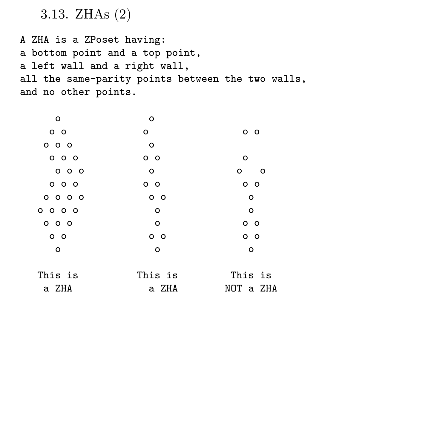3.13. ZHAs (2)

A ZHA is a ZPoset having: a bottom point and a top point, a left wall and a right wall, all the same-parity points between the two walls, and no other points.

| $\circ$           | o              |                |
|-------------------|----------------|----------------|
| $0$ 0             | o              | 0 <sub>o</sub> |
| 000               | o              |                |
| 000               | $0\quad$       | $\circ$        |
| 000               | o              | o<br>$\circ$   |
| 000               | $0\quad$       | $0\quad$       |
| 0000              | 0 <sub>o</sub> | $\circ$        |
| 0000              | $\circ$        | o              |
| $0\,$ $0\,$ $0\,$ | o              | $0\quad$       |
| 0 <sub>o</sub>    | 0 <sub>o</sub> | $0\quad$       |
| $\circ$           | $\circ$        | $\circ$        |
| This is           | This is        | This is        |
| a ZHA             | a ZHA          | NOT a ZHA      |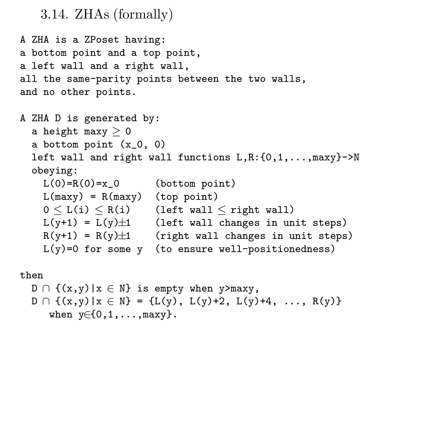```
3.14. ZHAs (formally)
```

```
A ZHA is a ZPoset having:
a bottom point and a top point,
a left wall and a right wall,
all the same-parity points between the two walls,
and no other points.
A ZHA D is generated by:
  a height maxy \geq 0a bottom point (x_0, 0)left wall and right wall functions L, R: \{0, 1, \ldots, \max y\}->N
  obeying:
    L(0)=R(0)=x_0 (bottom point)
    L(maxy) = R(maxy) (top point)
    0 \le L(i) \le R(i) (left wall \le right wall)
    L(y+1) = L(y) \pm 1 (left wall changes in unit steps)
    R(y+1) = R(y) \pm 1 (right wall changes in unit steps)
    L(y)=0 for some y (to ensure well-positionedness)
then
  D \cap \{(x,y) | x \in \mathbb{N}\}\is empty when y>maxy,
```

```
D \cap \{(x,y) | x \in N\} = \{L(y), L(y)+2, L(y)+4, \ldots, R(y)\}when y \in \{0, 1, \ldots, \max y\}.
```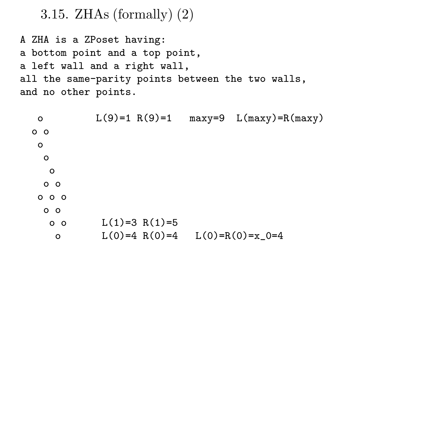3.15. ZHAs (formally) (2)

```
A ZHA is a ZPoset having:
a bottom point and a top point,
a left wall and a right wall,
all the same-parity points between the two walls,
and no other points.
```

```
o L(9)=1 R(9)=1 maxy=9 L(maxy)=R(maxy)o o
o
 o
 o
o o
o o o
 o o
  o o L(1)=3 R(1)=5o L(0)=4 R(0)=4 L(0)=R(0)=x_0=4
```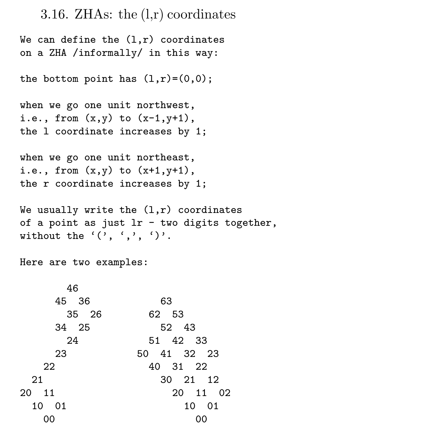```
3.16. ZHAs: the (l,r) coordinates
```

```
We can define the (1,r) coordinates
on a ZHA /informally/ in this way:
the bottom point has (1,r)=(0,0);when we go one unit northwest,
i.e., from (x,y) to (x-1,y+1),
the l coordinate increases by 1;
when we go one unit northeast,
i.e., from (x,y) to (x+1,y+1),
the r coordinate increases by 1;
We usually write the (1,r) coordinates
of a point as just lr - two digits together,
without the '('', ', ', ')'.Here are two examples:
        46
```

| 4536  | 63          |
|-------|-------------|
| 35 26 | 62 53       |
| 34 25 | 52 43       |
| 24    | 51 42 33    |
| - 23  | 50 41 32 23 |
| - 22  | 40 31 22    |
| 21    | 30 21 12    |
| 20 11 | 20 11 02    |
| 10 01 | 10 01       |
| 00    | იი          |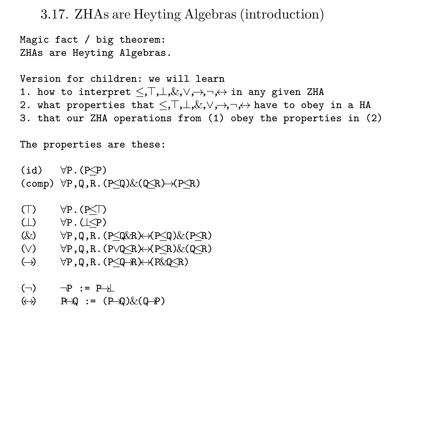3.17. ZHAs are Heyting Algebras (introduction)

Magic fact / big theorem: ZHAs are Heyting Algebras. Version for children: we will learn 1. how to interpret  $\langle \overline{y}, \overline{L}, \& \psi, \overline{y}, \overline{z}, \overline{z} \rangle$  in any given ZHA 2. what properties that  $\langle \overline{u}, \overline{u}, \overline{u}, \overline{v}, \overline{v}, \overline{v}, \overline{v} \rangle$  have to obey in a HA 3. that our ZHA operations from (1) obey the properties in (2) The properties are these:  $(id) \quad \forall P.(P\Diamond P)$  $(\text{comp}) \forall P, Q, R. (P\langle Q \rangle \& (Q\langle R) \rightarrow (P\langle R)$  $\Box$   $\forall P.(P\Box)$ (⊥) ∀P.(⊥≤P) (&) ∀P,Q,R.(P≤Q&R)↔(P≤Q)&(P≤R) (∨) ∀P,Q,R.(P∨Q≤R)↔(P≤R)&(Q≤R)  $\leftrightarrow$   $\forall P, Q, R. (P\langle Q,R \rangle \langle P \langle Q,R \rangle)$  $(\neg)$   $\neg P := P \rightarrow$ 

 $\leftrightarrow$  R+Q :=  $(P \oplus Q)\&(Q \oplus P)$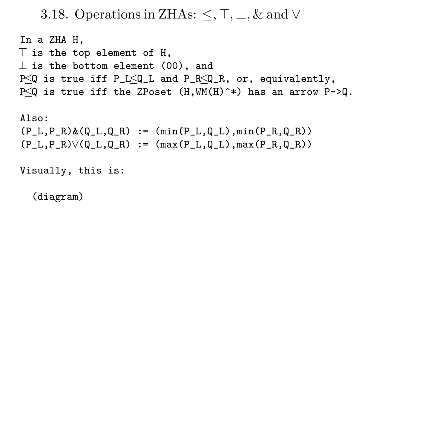3.18. Operations in ZHAs:  $\leq$ ,  $\top$ ,  $\perp$ ,  $\&$  and  $\vee$ 

```
In a ZHA H,
\top is the top element of H,
⊥ is the bottom element (00), and
P≤Q is true iff P_L≤Q_L and P_R≤Q_R, or, equivalently,
P≤Q is true iff the ZPoset (H,WM(H)^*) has an arrow P->Q.
Also:
(P_L, P_R) & (Q_L, Q_R) := (min(P_L, Q_L), min(P_R, Q_R))(P_L, P_R) \vee (Q_L, Q_R) := (max(P_L, Q_L), max(P_R, Q_R))
```
Visually, this is:

(diagram)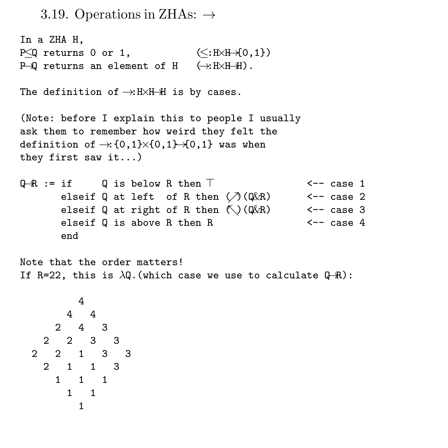3.19. Operations in ZHAs:  $\rightarrow$ 

```
In a ZHA H,
P\subseteq returns 0 or 1, (\leq: H \times H \rightarrow \{0,1\})P \downarrow returns an element of H (\rightarrow: H \times H \rightarrow H).
```
The definition of  $\rightarrow$ : H $\times$ H $\rightarrow$  H is by cases.

```
(Note: before I explain this to people I usually
ask them to remember how weird they felt the
definition of \rightarrow: {0,1}\times{0,1}\rightarrow{0,1} was when
they first saw it...)
```
 $Q-R := if \tQ$  is below R then  $\top$   $\leftarrow$  case 1 elseif Q at left of R then  $(\bigwedge)(\mathbb{Q}kR)$  <-- case 2 elseif Q at right of R then  $\Diamond$  (Q&R) <-- case 3 elseif Q is above R then R  $\leftarrow$  case 4 end

Note that the order matters! If R=22, this is  $\lambda$ Q. (which case we use to calculate Q-R):

```
4
   4 4
  2 4 3
 2 2 3 3
2 2 1 3 3
 2 1 1 3
  1 1 1
   1 1
    1
```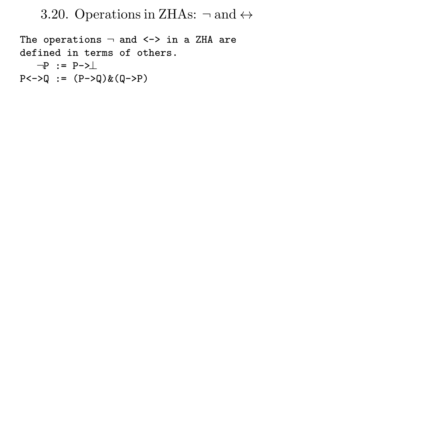3.20. Operations in ZHAs:  $\neg$  and  $\leftrightarrow$ 

The operations  $\neg$  and  $\langle - \rangle$  in a ZHA are defined in terms of others. ¬P := P->⊥  $P \leftarrow > Q := (P - > Q) \& (Q - > P)$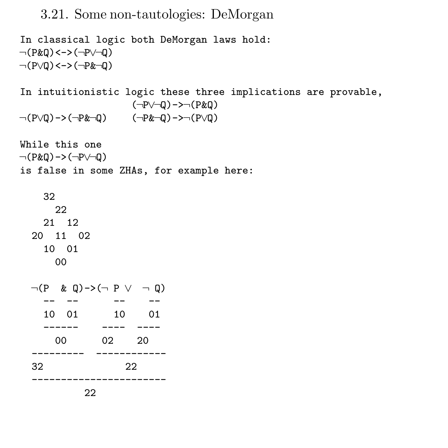3.21. Some non-tautologies: DeMorgan

In classical logic both DeMorgan laws hold: ¬(P&Q)<->(¬P∨¬Q) ¬(P∨Q)<->(¬P&¬Q) In intuitionistic logic these three implications are provable, (¬P∨¬Q)->¬(P&Q) ¬(P∨Q)->(¬P&¬Q) (¬P&¬Q)->¬(P∨Q) While this one ¬(P&Q)->(¬P∨¬Q) is false in some ZHAs, for example here: 32 22 21 12 20 11 02 10 01 00  $\neg (P \& Q) \rightarrow (\neg P \lor \neg Q)$ -- -- -- -- 10 01 10 01 ------ ---- ---- 00 02 20 --------- ------------ 32 22 ----------------------- 22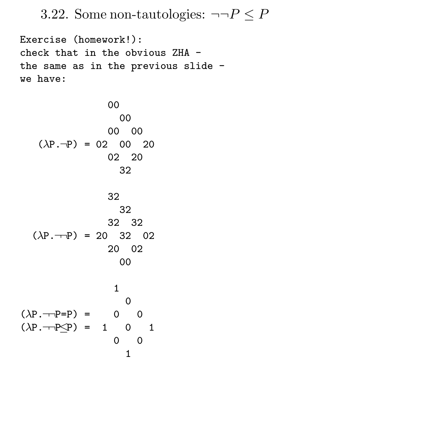3.22. Some non-tautologies:  $\neg\neg P \leq P$ 

Exercise (homework!): check that in the obvious ZHA the same as in the previous slide we have:

00 00 00 00  $(\lambda P, \neg P) = 02$  00 20 02 20 32 32 32 32 32  $(\lambda P. \rightarrow P) = 20$  32 02 20 02 00 1 0  $(\lambda P. \rightarrow P = P) = 0 0$  $(\lambda P. \neg P \Diamond P) = 1$  0 1 0 0 1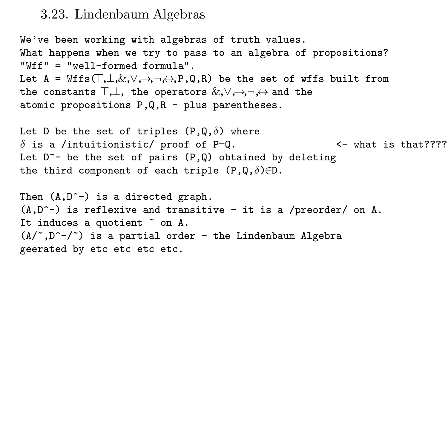#### 3.23. Lindenbaum Algebras

We've been working with algebras of truth values. What happens when we try to pass to an algebra of propositions? "Wff" = "well-formed formula". Let A = Wffs $(T, \perp, \& , \vee, \rightarrow, \neg, \leftrightarrow, P, Q, R)$  be the set of wffs built from the constants  $\top$ , $\bot$ , the operators  $\&$ , $\vee$ , $\rightarrow$ , $\rightarrow$  $\leftrightarrow$  and the atomic propositions P,Q,R - plus parentheses. Let D be the set of triples  $(P, Q, \delta)$  where  $\delta$  is a /intuitionistic/ proof of P-Q.  $\sim$  <- what is that???? Let  $D^{\frown}$  be the set of pairs  $(P,Q)$  obtained by deleting the third component of each triple  $(P,Q,\delta) \in D$ .

Then  $(A, D^{\hat{-}})$  is a directed graph.  $(A, D^{\sim})$  is reflexive and transitive - it is a /preorder/ on A. It induces a quotient  $\tilde{ }$  on A.  $(A/^*, D^*$  is a partial order - the Lindenbaum Algebra geerated by etc etc etc etc.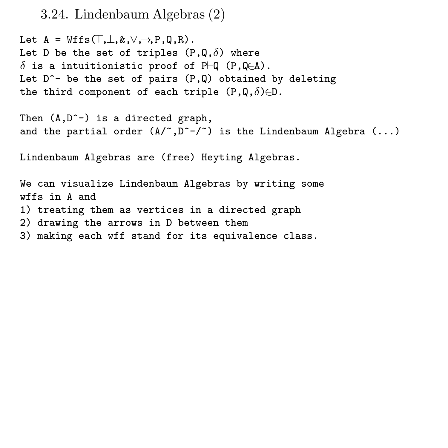3.24. Lindenbaum Algebras (2)

Let  $A = Wffs(\top, \bot, \&, \vee, \rightarrow, P, Q, R)$ . Let D be the set of triples  $(P,Q,\delta)$  where  $\delta$  is a intuitionistic proof of P $\vdash Q$  (P,Q∈A). Let  $D^{\frown}$  be the set of pairs  $(P,Q)$  obtained by deleting the third component of each triple  $(P,Q,\delta) \in D$ .

```
Then (A, D^{\hat{-}}) is a directed graph,
and the partial order (A/^*, D^*-'') is the Lindenbaum Algebra (...)
```
Lindenbaum Algebras are (free) Heyting Algebras.

We can visualize Lindenbaum Algebras by writing some wffs in A and

- 1) treating them as vertices in a directed graph
- 2) drawing the arrows in D between them
- 3) making each wff stand for its equivalence class.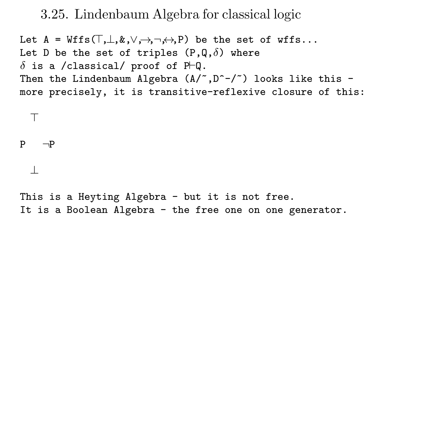3.25. Lindenbaum Algebra for classical logic

```
Let A = Wffs(\top, \bot, \&, \vee, \rightarrow, \neg, \leftrightarrow, P) be the set of wffs...
Let D be the set of triples (P,Q,\delta) where
\delta is a /classical/ proof of P\vdash Q.
Then the Lindenbaum Algebra (A/^*, D^*-'') looks like this -
more precisely, it is transitive-reflexive closure of this:
 \topP ¬P
  ⊥
This is a Heyting Algebra - but it is not free.
It is a Boolean Algebra - the free one on one generator.
```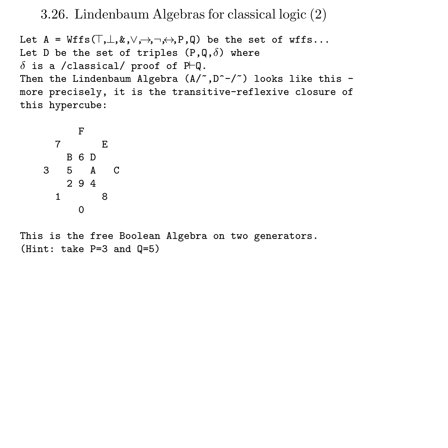3.26. Lindenbaum Algebras for classical logic (2)

```
Let A = Wffs(\top, \bot, \& , \vee, \rightarrow, \neg, \leftrightarrow, P, Q) be the set of wffs...
Let D be the set of triples (P,Q,\delta) where
\delta is a /classical/ proof of P\vdash Q.
Then the Lindenbaum Algebra (A/^*, D^*-/^*) looks like this -
more precisely, it is the transitive-reflexive closure of
this hypercube:
```

```
F
 7 E
 B 6 D
3 5 A C
  2 9 4
 1 8
   0
```
This is the free Boolean Algebra on two generators. (Hint: take P=3 and Q=5)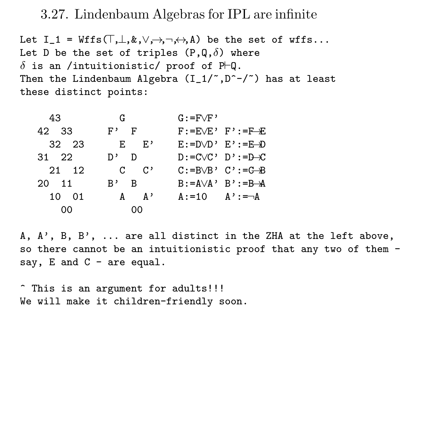3.27. Lindenbaum Algebras for IPL are infinite

```
Let I_1 = Wffs(T, \perp, \&, \vee, \rightarrow, \neg, \leftrightarrow, A) be the set of wffs...
Let D be the set of triples (P,Q,\delta) where
\delta is an /intuitionistic/ proof of P\negQ.
Then the Lindenbaum Algebra (I_1/\tilde{C}, D\tilde{C}-\tilde{C}) has at least
these distinct points:
```

| 43    | G         | $G:=F\vee F'$                                  |
|-------|-----------|------------------------------------------------|
| 42 33 | F' F      | $F:=E\vee E$ $F$ : $=F-E$                      |
| 32 23 | E.<br>E.' | $E: =D \vee D'$ $E':=E \oplus D$               |
| 31 22 | ת -<br>ים | $D := C \vee C'$ $D' := D \vee C$              |
| 21 12 | $C$ $C$ ' | $C := B \vee B$ $C$ $\cdot := C \rightarrow B$ |
| 20 11 | B,<br>– R | $B := A \vee A'$ $B' := B \rightarrow A$       |
| 10 01 | A'<br>A   | $A := 10$ $A' := \neg A$                       |
| ററ    | იი        |                                                |

A, A', B, B', ... are all distinct in the ZHA at the left above, so there cannot be an intuitionistic proof that any two of them say, E and C - are equal.

^ This is an argument for adults!!! We will make it children-friendly soon.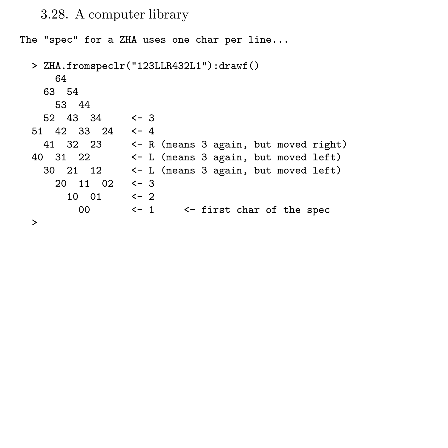## 3.28. A computer library

The "spec" for a ZHA uses one char per line...

```
> ZHA.fromspeclr("123LLR432L1"):drawf()
   64
 63 54
  53 44
 52 43 34 <- 3
51 42 33 24 <- 4
 41 32 23 <- R (means 3 again, but moved right)
40 31 22 <- L (means 3 again, but moved left)
 30 21 12 <- L (means 3 again, but moved left)
   20 11 02 <- 3
     10 01 <- 2
      00 <- 1 <- first char of the spec
```
>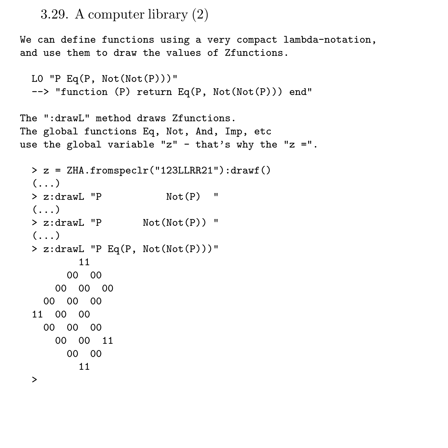3.29. A computer library (2)

We can define functions using a very compact lambda-notation, and use them to draw the values of Zfunctions.

```
LO "P Eq(P, Not(Not(P)))"
--> "function (P) return Eq(P, Not(Not(P))) end"
```

```
The ":drawL" method draws Zfunctions.
The global functions Eq, Not, And, Imp, etc
use the global variable "z" - that's why the "z =".
```

```
> z = ZHA.fromspeclr("123LLRR21"):drawf()
( \ldots )> z:drawL "P Not(P) "
( \ldots )> z:drawL "P Not(Not(P)) "
(\ldots)> z:drawL "P Eq(P, Not(Not(P)))"
      11
     00 00
   00 00 00
 00 00 00
11 00 00
 00 00 00
   00 00 11
     00 00
      11
>
```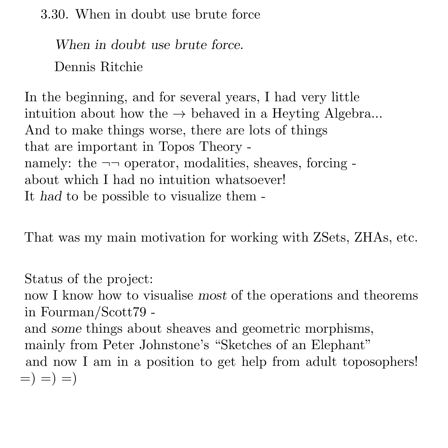3.30. When in doubt use brute force

When in doubt use brute force.

Dennis Ritchie

In the beginning, and for several years, I had very little intuition about how the  $\rightarrow$  behaved in a Heyting Algebra... And to make things worse, there are lots of things that are important in Topos Theory namely: the  $\neg\neg$  operator, modalities, sheaves, forcing about which I had no intuition whatsoever! It had to be possible to visualize them -

That was my main motivation for working with ZSets, ZHAs, etc.

Status of the project:

now I know how to visualise most of the operations and theorems in Fourman/Scott79 -

and some things about sheaves and geometric morphisms, mainly from Peter Johnstone's "Sketches of an Elephant" and now I am in a position to get help from adult toposophers!  $=) =) =)$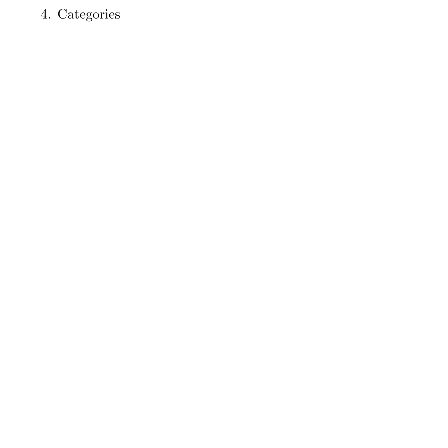# 4. Categories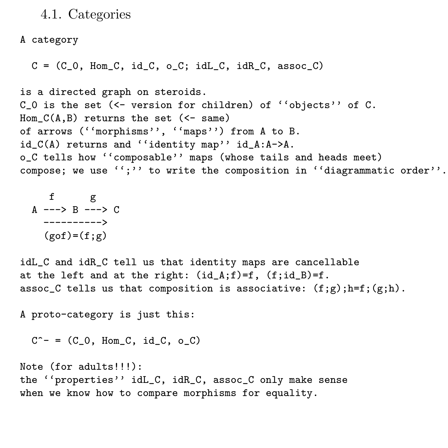4.1. Categories

A category

 $C = (C_0, Hom_C, id_C, o_C; idL_C, idR_C, assoc_C)$ 

```
is a directed graph on steroids.
C_0 is the set (<- version for children) of ''objects'' of C.
Hom_C(A, B) returns the set (\leq - same)of arrows (''morphisms'', ''maps'') from A to B.
id_C(A) returns and ''identity map'' id_A:A->A.
o_C tells how ''composable'' maps (whose tails and heads meet)
compose; we use '':' to write the composition in ''diagrammatic order''.
```
f g  
A 
$$
\leftarrow
$$
 > B  $\leftarrow$  > C  
-----  
(gof)=(f;g)

idL\_C and idR\_C tell us that identity maps are cancellable at the left and at the right:  $(id_A; f)=f$ ,  $(f; id_B)=f$ . assoc\_C tells us that composition is associative:  $(f;g); h=f$ ; $(g;h)$ .

A proto-category is just this:

```
C^{\frown} = (C_0, Hom_C, id_C, o_C)
```
Note (for adults!!!): the ''properties'' idL\_C, idR\_C, assoc\_C only make sense when we know how to compare morphisms for equality.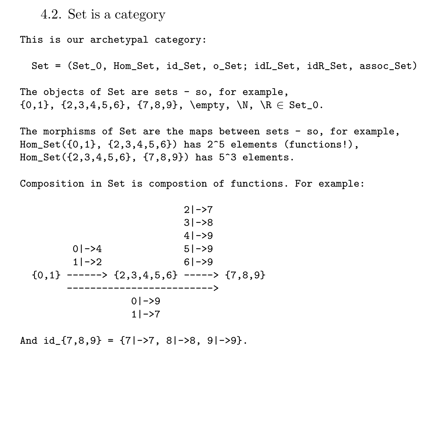4.2. Set is a category

This is our archetypal category:

Set = (Set\_0, Hom\_Set, id\_Set, o\_Set; idL\_Set, idR\_Set, assoc\_Set)

The objects of Set are sets - so, for example,  ${0,1}, {2,3,4,5,6}, {7,8,9}, \empty, \N, \R \in Set_0.$ 

The morphisms of Set are the maps between sets - so, for example,  $Hom_Set({0,1}, {2,3,4,5,6})$  has  $2^5$  elements (functions!), Hom\_Set({2,3,4,5,6}, {7,8,9}) has 5^3 elements.

Composition in Set is compostion of functions. For example:

 $2|->7$ 3|->8 4|->9 0|->4 5|->9 1|->2 6|->9  ${0,1}$  ------>  ${2,3,4,5,6}$  ----->  ${7,8,9}$ -------------------------> 0|->9 1|->7

And  $id_{-} \{7,8,9\} = \{7|-27, 8|-28, 9|-29\}.$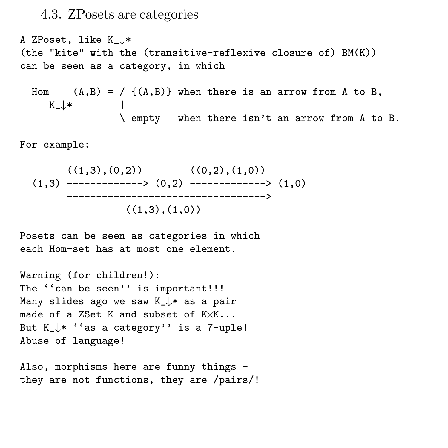#### 4.3. ZPosets are categories

A ZPoset, like K\_↓\* (the "kite" with the (transitive-reflexive closure of) BM(K)) can be seen as a category, in which

Hom  $(A, B) = / \{(A, B)\}$  when there is an arrow from A to B,  $K_{-} \downarrow *$  | \ empty when there isn't an arrow from A to B.

For example:

 $((1,3),(0,2))$   $((0,2),(1,0))$  $(1,3)$  ------------>  $(0,2)$  ------------>  $(1,0)$ ---------------------------------->  $((1,3), (1,0))$ 

Posets can be seen as categories in which each Hom-set has at most one element.

```
Warning (for children!):
The ''can be seen'' is important!!!
Many slides ago we saw K_↓* as a pair
made of a ZSet K and subset of K×K...
But K_{\perp}<sup>*</sup> ''as a category'' is a 7-uple!
Abuse of language!
```
Also, morphisms here are funny things they are not functions, they are /pairs/!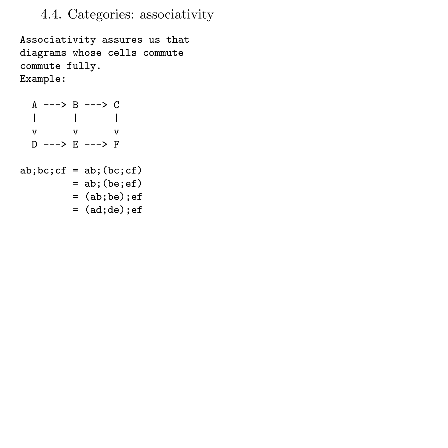4.4. Categories: associativity

```
Associativity assures us that
diagrams whose cells commute
commute fully.
Example:
```

```
A \longrightarrow B \longrightarrow C| | |
  v v v
  D \rightarrow -\rightarrow E \rightarrow -\rightarrow Fab;bc;cf = ab;(bc;cf)= ab; (be; ef)
            = (ab;be);ef
            = (ad;de);ef
```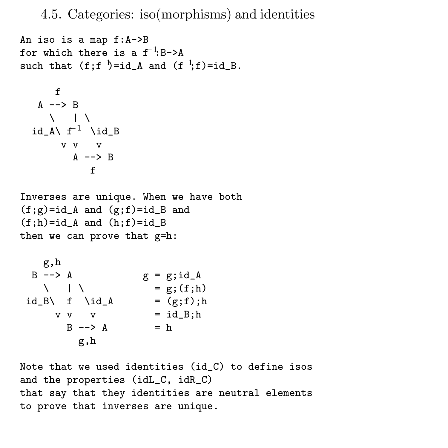4.5. Categories: iso(morphisms) and identities

```
An iso is a map f:A->B
for which there is a f^{-1}:B\rightarrow Asuch that (f;f^{-1})=id_A and (f^{-1};f)=id_B.
      f
   A \leftarrow > B\ | \
  id_A\ f−1 \id_B
       v v v
         A \leftarrow > Bf
Inverses are unique. When we have both
(f;g)=id_A and (g;f)=id_B and
(f;h)=id_A and (h;f)=id_Bthen we can prove that g=h:
  g, h<br>B \rightarrow A
                     g = g;id_A
   \setminus | \setminus = g; (f; h)
 id_B\ f \id_A = (g;f);h\overline{v} \quad \overline{v} \quad \overline{v} \quad = id \quad B:hB \rightarrow \rightarrow A = h
           g,h
Note that we used identities (id_C) to define isos
and the properties (idL_C, idR_C)
that say that they identities are neutral elements
```
to prove that inverses are unique.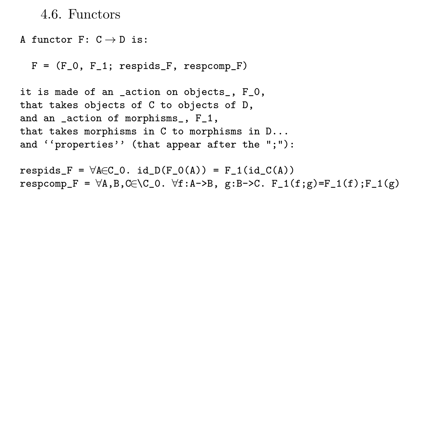4.6. Functors

```
A functor F: C \rightarrow D is:
```
 $F = (F_0, F_1; respectively, respectively)$ 

```
it is made of an _action on objects_, F_0,
that takes objects of C to objects of D,
and an _action of morphisms_, F_1,
that takes morphisms in C to morphisms in D...
and ''properties'' (that appear after the ";"):
```

```
respids_F = \forall A \in C_0. id_D(F_0(A)) = F_1(id_C(A))
respcomp_F = \forall A, B, C \in \C_0. \forall f:A \rightarrow B, g:B->C. F_1(f;g)=F_1(f);F_1(g)
```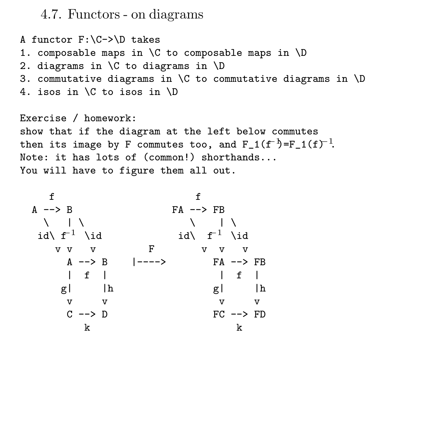4.7. Functors - on diagrams

A functor F:\C->\D takes 1. composable maps in \C to composable maps in \D 2. diagrams in \C to diagrams in \D 3. commutative diagrams in \C to commutative diagrams in \D 4. isos in \C to isos in \D

Exercise / homework: show that if the diagram at the left below commutes then its image by F commutes too, and  $F_1(f^-)=F_1(f)^{-1}$ . Note: it has lots of (common!) shorthands... You will have to figure them all out.

f f  $A \rightarrow B$  FA --> FB  $\sqrt{1 + \frac{1}{2}}$ id\  $f^{-1}$  \id id\  $f^{-1}$  \id v v v F v v v A --> B |----><br>| f |  $\begin{array}{c|c|c|c|c|c|c|c|c} & \hspace{1.5cm} & \hspace{1.5cm} & \hspace{1.5cm} & \hspace{1.5cm} & \hspace{1.5cm} & \hspace{1.5cm} & \hspace{1.5cm} & \hspace{1.5cm} & \hspace{1.5cm} & \hspace{1.5cm} & \hspace{1.5cm} & \hspace{1.5cm} & \hspace{1.5cm} & \hspace{1.5cm} & \hspace{1.5cm} & \hspace{1.5cm} & \hspace{1.5cm} & \hspace{1.5cm} & \hspace{1.5cm} & \hspace{1.$ g| |h g| |h v v v v  $FC \leftarrow > FD$ k k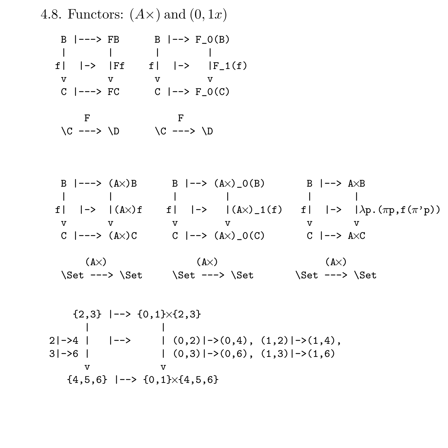4.8. Functors:  $(A \times)$  and  $(0, 1x)$ 

B |---> FB B |--> F\_0(B) | | | | f| |-> |Ff f| |-> |F\_1(f) v v v v C |---> FC C |--> F\_0(C) F F \C ---> \D \C ---> \D B |---> (A×)B B |--> (A×)\_0(B) B |--> A×B | | | | | | f| |-> |(A×)f f| |-> |(A×)\_1(f) f| |-> |λp.(πp,f(π'p)) v v v v v v C |---> (A×)C C |--> (A×)\_0(C) C |--> A×C (A×) (A×) (A×) \Set ---> \Set \Set ---> \Set \Set ---> \Set

$$
\{2,3\} \mid \rightarrow \{0,1\} \times \{2,3\}
$$
\n
$$
\mid \qquad \mid
$$
\n
$$
2|-34 \mid \qquad |-3 \qquad | \qquad (0,2)|-5(0,4), (1,2)|-5(1,4),
$$
\n
$$
3|-56 \mid \qquad \qquad | \qquad (0,3)|-5(0,6), (1,3)|-5(1,6)
$$
\n
$$
\text{v} \qquad \text{v}
$$
\n
$$
\{4,5,6\} \mid -5 \quad \{0,1\} \times \{4,5,6\}
$$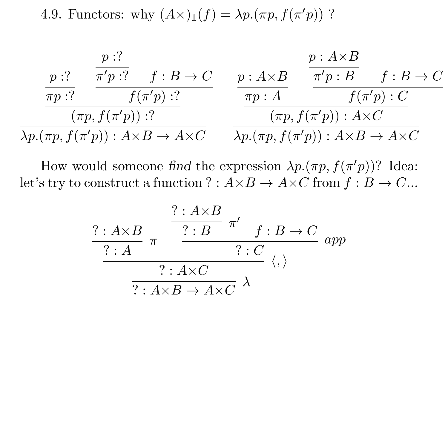4.9. Functors: why  $(A \times)_{1}(f) = \lambda p \cdot (\pi p, f(\pi' p))$ ?

$$
\frac{p:? \quad \frac{p:?}{\pi'p:? \quad f: B \to C}}{\frac{\pi p:? \quad f(\pi'p):?}{\pi p \cdot f(\pi'p):?}} \quad \frac{p: A \times B}{\pi p: A} \quad \frac{\frac{p: A \times B}{\pi'p: B} \quad f: B \to C}{f(\pi'p): C}
$$
\n
$$
\frac{\pi p: A}{\pi p \cdot f(\pi'p): A \times C} \quad \frac{\pi p: A}{\pi p \cdot f(\pi'p): A \times C}
$$
\n
$$
\frac{\pi p:?}{\pi p \cdot f(\pi'p): A \times C} \quad \frac{p: A \times B}{\pi p \cdot f(\pi'p): A \times C}
$$

How would someone find the expression  $\lambda p.(\pi p, f(\pi' p))$ ? Idea: let's try to construct a function ? :  $A \times B \to A \times C$  from  $f : B \to C$ ...

$$
\frac{?: A \times B}{?: A} \pi \xrightarrow{?: B \pi'} f: B \to C
$$
  

$$
\frac{?: A}{?: A \times C} \xleftarrow{?: C} \langle,\rangle
$$
  

$$
\frac{?: A \times C}{?: A \times B \to A \times C} \lambda
$$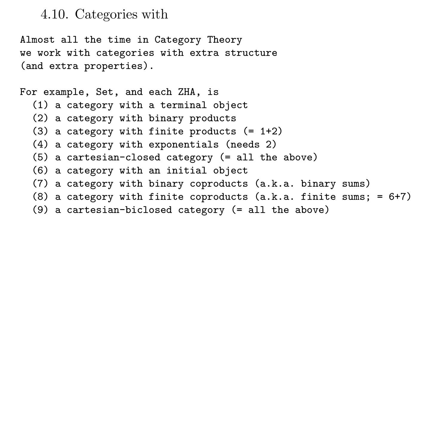## 4.10. Categories with

Almost all the time in Category Theory we work with categories with extra structure (and extra properties).

For example, Set, and each ZHA, is

- (1) a category with a terminal object
- (2) a category with binary products
- (3) a category with finite products (= 1+2)
- (4) a category with exponentials (needs 2)
- (5) a cartesian-closed category (= all the above)
- (6) a category with an initial object
- (7) a category with binary coproducts (a.k.a. binary sums)
- (8) a category with finite coproducts (a.k.a. finite sums; = 6+7)
- (9) a cartesian-biclosed category (= all the above)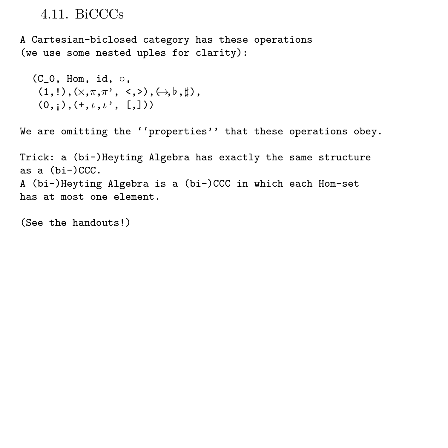## 4.11. BiCCCs

A Cartesian-biclosed category has these operations (we use some nested uples for clarity):

```
(C_0, Hom, id, ◦,
 (1,!), (\times,\pi,\pi',\leq,\geq), (\rightarrow,\circ,\sharp),
 (0, i), (+, i, i', [1])
```
We are omitting the ''properties'' that these operations obey.

Trick: a (bi-)Heyting Algebra has exactly the same structure as a (bi-)CCC. A (bi-)Heyting Algebra is a (bi-)CCC in which each Hom-set has at most one element.

```
(See the handouts!)
```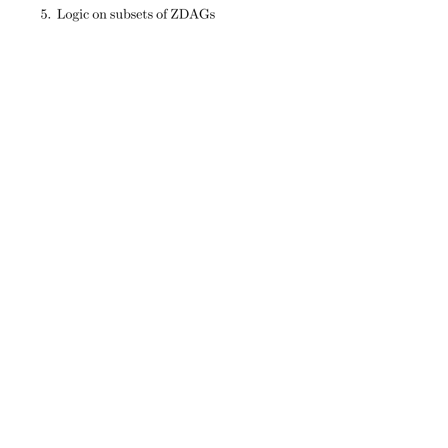5. Logic on subsets of ZDAGs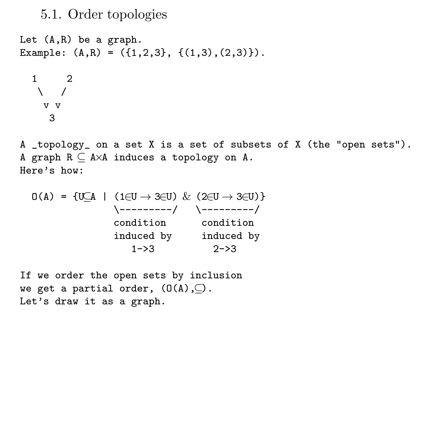5.1. Order topologies

Let (A,R) be a graph. Example:  $(A,R) = (\{1,2,3\}, \{(1,3), (2,3)\})$ . 1 2  $\sqrt{ }$ v v 3

A \_topology\_ on a set X is a set of subsets of X (the "open sets"). A graph  $R \subset A \times A$  induces a topology on A. Here's how:

 $O(A) = \{UCA \mid (1 \in U \rightarrow 3 \in U) \& (2 \in U \rightarrow 3 \in U)\}\$ \---------/ \---------/ condition condition induced by induced by 1->3 2->3

If we order the open sets by inclusion we get a partial order,  $(O(A), \subseteq)$ . Let's draw it as a graph.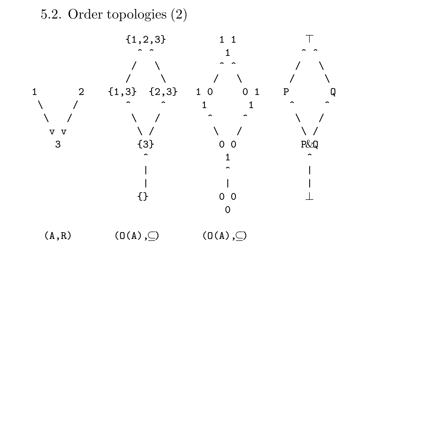5.2. Order topologies (2)



 $(Q(A), R)$  (O(A),  $Q$ ) (O(A),  $Q$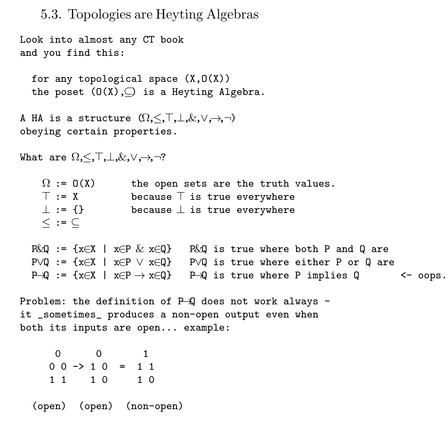5.3. Topologies are Heyting Algebras

Look into almost any CT book and you find this: for any topological space  $(X,0(X))$ the poset  $(0(X), \subseteq)$  is a Heyting Algebra. A HA is a structure  $(\Omega, \leq, \top, \bot, \&, \vee, \rightarrow, \neg)$ obeying certain properties. What are  $\Omega, \leq, \top, \bot, \&, \vee, \rightarrow, \neg?$  $\Omega$  := 0(X) the open sets are the truth values.  $\top$  := X because  $\top$  is true everywhere  $\perp$  := {} because  $\perp$  is true everywhere ≤ := ⊆ P&Q :=  $\{x \in X \mid x \in P \& x \in Q\}$  P&Q is true where both P and Q are P∨Q := {x∈X | x∈P ∨ x∈Q} P∨Q is true where either P or Q are  $P \rightarrow Q := \{x \in X \mid x \in P \rightarrow x \in Q\}$  P $\rightarrow Q$  is true where P implies Q < - oops. Problem: the definition of P→Q does not work always it \_sometimes\_ produces a non-open output even when both its inputs are open... example:

0 0 1  $0 \t0 \t-2 \t1 \t0 = 1 \t1$ 1 1 1 0 1 0 (open) (open) (non-open)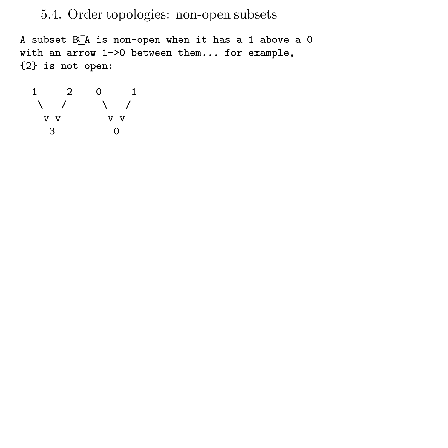# 5.4. Order topologies: non-open subsets

A subset B⊆A is non-open when it has a 1 above a 0 with an arrow 1->0 between them... for example, {2} is not open:

1 2 0 1  $\setminus$  /  $\setminus$  / v v v v 3 0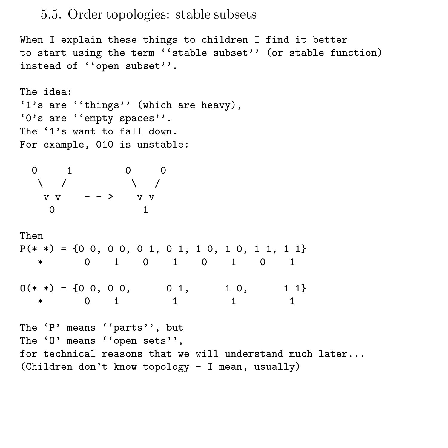### 5.5. Order topologies: stable subsets

When I explain these things to children I find it better to start using the term ''stable subset'' (or stable function) instead of ''open subset''.

```
The idea:
'1's are ''things'' (which are heavy),
'0's are ''empty spaces''.
The '1's want to fall down.
For example, 010 is unstable:
  0 1 0 0
   \begin{array}{ccccccc} \backslash & / & & & \backslash & / \end{array}v v - - > v v
     0 1
Then
P(**) = \{0, 0, 0, 0, 0, 1, 0, 1, 1, 0, 1, 0, 1, 1, 1, 1\}* 0 1 0 1 0 1 0 1
0(*) = \{0, 0, 0, 0, 0, 1, 1, 0, 1, 1\}* 0 1 1 1 1
The 'P' means ''parts'', but
The 'O' means ''open sets'',
for technical reasons that we will understand much later...
(Children don't know topology - I mean, usually)
```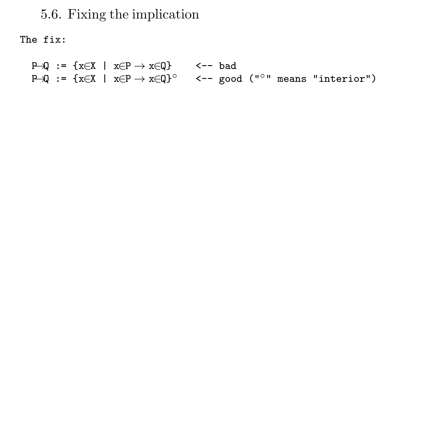5.6. Fixing the implication

The fix:

 $P \rightarrow Q := \{x \in X \mid x \in P \rightarrow x \in Q\}$  <-- bad  $P \rightarrow Q := \{x \in X \mid x \in P \rightarrow x \in Q\}^{\circ}$  <-- good (" $\circ$ " means "interior")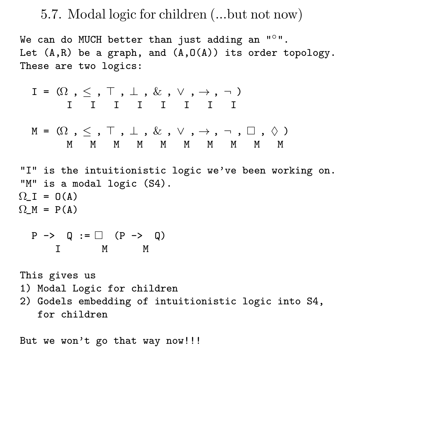# 5.7. Modal logic for children (...but not now)

We can do MUCH better than just adding an "<sup>○</sup>". Let  $(A,R)$  be a graph, and  $(A,O(A))$  its order topology. These are two logics:

$$
I = (\Omega_1, \leq, \top, \bot, \&, \vee, \rightarrow, \neg)
$$
\n
$$
I \quad I \quad I \quad I \quad I \quad I \quad I
$$
\n
$$
M = (\Omega_1, \leq, \top, \bot, \&, \vee, \rightarrow, \neg, \square, \Diamond)
$$
\n
$$
M \quad M \quad M \quad M \quad M \quad M \quad M \quad M
$$
\n
$$
"I" is the intuitionistic logic we've been working on.\n
$$
"M" is a modal logic (S4).
$$
\n
$$
\Omega_{\text{L}}I = O(\text{A})
$$
\n
$$
\Omega_{\text{L}}M = P(\text{A})
$$
\n
$$
P \rightarrow Q := \square (P \rightarrow Q)
$$
\n
$$
I \quad M \quad M
$$
\n
$$
"I" is the intuitionistic logic we've been working on.\n
$$
\Omega_{\text{L}}M = P(\text{A})
$$
\n
$$
P \rightarrow Q := \square (P \rightarrow Q)
$$
\n
$$
I \quad M \quad M
$$
$$
$$

- 1) Modal Logic for children
- 2) Godels embedding of intuitionistic logic into S4, for children

But we won't go that way now!!!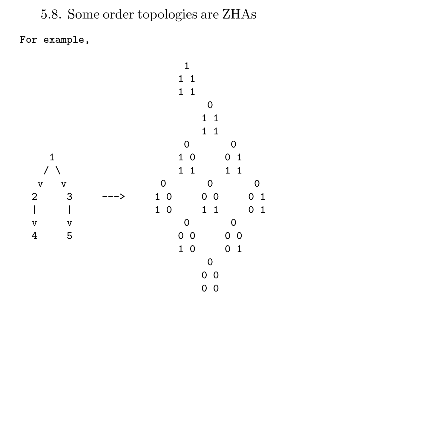# 5.8. Some order topologies are ZHAs

For example,

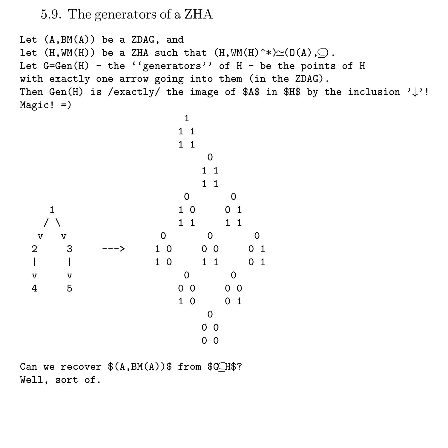### 5.9. The generators of a ZHA

```
Let (A,BM(A)) be a ZDAG, and
let (H, WM(H)) be a ZHA such that (H, WM(H)^*')\simeq(0(A), \subset).
Let G=Gen(H) - the ''generators'' of H - be the points of H
with exactly one arrow going into them (in the ZDAG).
Then Gen(H) is /exactly/ the image of $A$ in $H$ by the inclusion '\downarrow'!
Magic! =)
                        1
                       1 1
                       1 1
                           \Omega1 1
                          1 1
                        0 0
    \begin{array}{ccc} 1 & 10 & 01 \\ 1 & 11 & 11 \end{array}/ \ 1 1 1 1
  v v 0 0 0
 2 3 ---> 10 00 01<br>
1 1 10 11 01
  | | 1 0 1 1 0 1
  v v 0 0
  4 5 0 0 0 0
                       1 0 0 1
                           0
                          0 0
                          0 0
```
Can we recover  $$(A, BM(A))$ \$ from  $GCH$$ ? Well, sort of.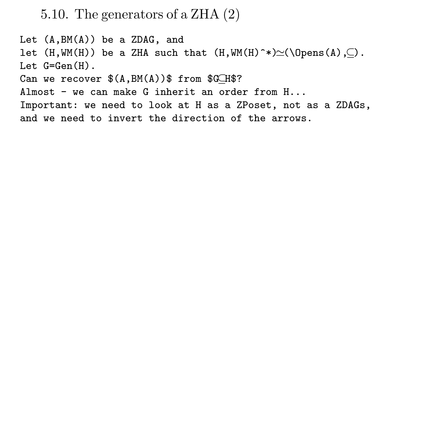5.10. The generators of a ZHA (2)

Let  $(A,BM(A))$  be a ZDAG, and let  $(H, WM(H))$  be a ZHA such that  $(H, WM(H)^*')\simeq(\D$ pens $(A), \subset)$ . Let G=Gen(H). Can we recover  $$(A, BM(A))$ \$ from  $GCH$$ ? Almost - we can make G inherit an order from H... Important: we need to look at H as a ZPoset, not as a ZDAGs, and we need to invert the direction of the arrows.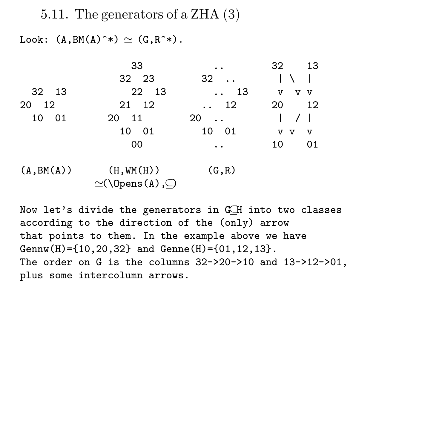## 5.11. The generators of a ZHA (3)

Look:  $(A, BM(A)^* ) \simeq (G, R^* ).$ 

|       | 33    | $\sim$ $\sim$ $\sim$ | 32 13                                    |
|-------|-------|----------------------|------------------------------------------|
|       | 32 23 | 32                   | $\vert \ \ \vert$                        |
| 32 13 | 22 13 | 13                   | $V$ $V$ $V$                              |
| 20 12 | 21 12 | $\ldots$ 12          | 20 12                                    |
| 10 01 | 20 11 | 20.,                 | $\begin{array}{ccc} & & 1 & \end{array}$ |
|       | 10 01 | 10 01                | V V V V                                  |
|       | - 00  | $\cdots$             | 10 01                                    |
|       |       |                      |                                          |

 $(A, BM(A))$  (H, WM(H)) (G, R)  $\simeq$ (\Opens(A), $\subset$ )

Now let's divide the generators in G⊆H into two classes according to the direction of the (only) arrow that points to them. In the example above we have Gennw(H)={10,20,32} and Genne(H)={01,12,13}. The order on G is the columns  $32 - 20 - 10$  and  $13 - 12 - 01$ , plus some intercolumn arrows.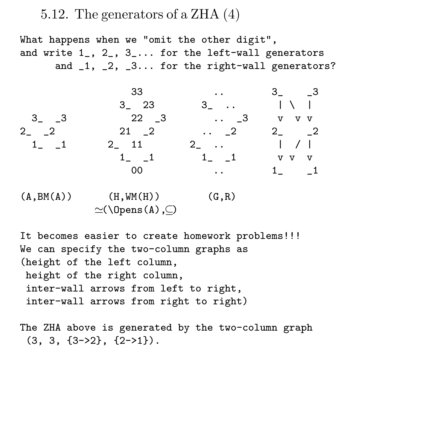# 5.12. The generators of a ZHA (4)

What happens when we "omit the other digit", and write 1\_, 2\_, 3\_... for the left-wall generators and \_1, \_2, \_3... for the right-wall generators?



 $(A, BM(A))$  (H,  $WM(H))$  (G, R)  $\simeq$ (\Opens(A), $\subset$ )

It becomes easier to create homework problems!!! We can specify the two-column graphs as (height of the left column, height of the right column, inter-wall arrows from left to right, inter-wall arrows from right to right)

The ZHA above is generated by the two-column graph  $(3, 3, {3->2}, {2->1}).$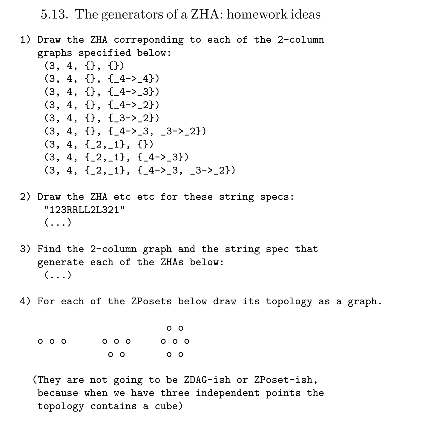5.13. The generators of a ZHA: homework ideas

- 1) Draw the ZHA correponding to each of the 2-column graphs specified below:
	- $(3, 4, {\{\},\ {\})$  $(3, 4, {\})$ ,  $\{-4->4\})$  $(3, 4, \{\}$ ,  $\{4\rightarrow3\})$  $(3, 4, \{\}, \{-4-\geq2\})$  $(3, 4, \{\}, \{-3-\geq2\})$  $(3, 4, {\})$ ,  $\{-4->3, -3->2\})$  $(3, 4, \{-2, -1\}, \{\})$  $(3, 4, \{-2, -1\}, \{-4-\geq 3\})$  $(3, 4, \{-2, 1\}, \{-4\rightarrow 3, 3\rightarrow 2\})$
- 2) Draw the ZHA etc etc for these string specs: "123RRLL2L321"  $( \ldots )$
- 3) Find the 2-column graph and the string spec that generate each of the ZHAs below:  $( \ldots )$
- 4) For each of the ZPosets below draw its topology as a graph.

|     |                   | 0 <sub>o</sub> |
|-----|-------------------|----------------|
| 000 | $0\,$ $0\,$ $0\,$ | 000            |
|     | 0 <sub>0</sub>    | 0 <sub>o</sub> |

(They are not going to be ZDAG-ish or ZPoset-ish, because when we have three independent points the topology contains a cube)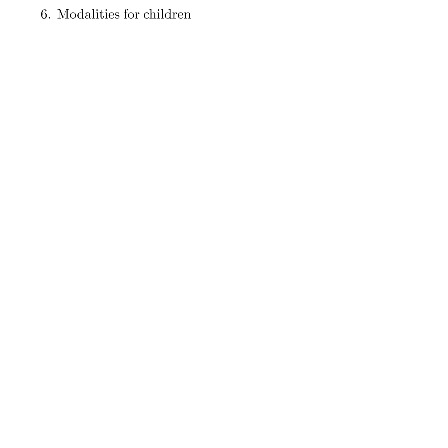6. Modalities for children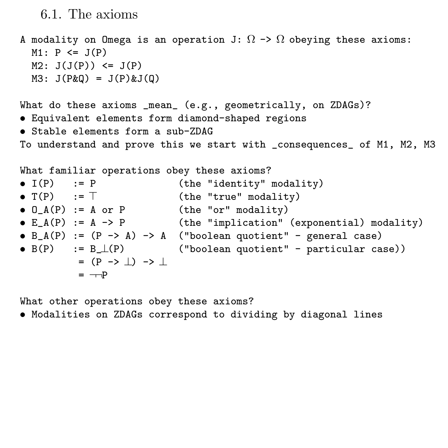6.1. The axioms

A modality on Omega is an operation J:  $\Omega \rightarrow \Omega$  obeying these axioms:  $M1: P \le J(P)$  $M2: J(J(P)) \le J(P)$  $M3: J(P&0) = J(P)&J(0)$ What do these axioms \_mean\_ (e.g., geometrically, on ZDAGs)? • Equivalent elements form diamond-shaped regions • Stable elements form a sub-ZDAG To understand and prove this we start with \_consequences\_ of M1, M2, M3 What familiar operations obey these axioms? •  $I(P)$  := P (the "identity" modality) •  $T(P)$  :=  $T$  (the "true" modality)  $\bullet$   $0_A(P)$  := A or P (the "or" modality) • E\_A(P) := A -> P (the "implication" (exponential) modality)  $\bullet$  B\_A(P) :=  $(P \rightarrow A) \rightarrow A$  ("boolean quotient" - general case) •  $B(P)$  :=  $B_{\perp}(P)$  ("boolean quotient" - particular case))  $= (P \rightarrow \perp) \rightarrow \perp$  $=$   $\neg$  $P$ 

What other operations obey these axioms?

• Modalities on ZDAGs correspond to dividing by diagonal lines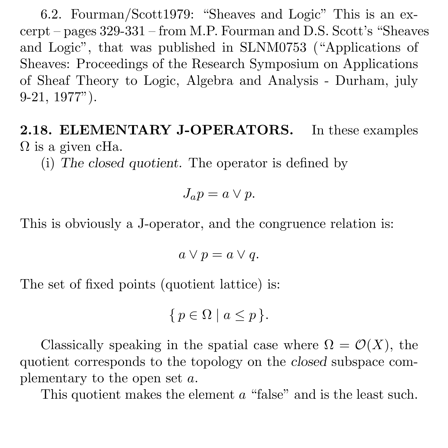6.2. Fourman/Scott1979: "Sheaves and Logic" This is an excerpt – pages 329-331 – from M.P. Fourman and D.S. Scott's "Sheaves and Logic", that was published in SLNM0753 ("Applications of Sheaves: Proceedings of the Research Symposium on Applications of Sheaf Theory to Logic, Algebra and Analysis - Durham, july 9-21, 1977").

2.18. ELEMENTARY J-OPERATORS. In these examples  $\Omega$  is a given cHa.

(i) The closed quotient. The operator is defined by

$$
J_a p = a \vee p.
$$

This is obviously a J-operator, and the congruence relation is:

$$
a \vee p = a \vee q.
$$

The set of fixed points (quotient lattice) is:

$$
\{p \in \Omega \mid a \le p\}.
$$

Classically speaking in the spatial case where  $\Omega = \mathcal{O}(X)$ , the quotient corresponds to the topology on the closed subspace complementary to the open set a.

This quotient makes the element a "false" and is the least such.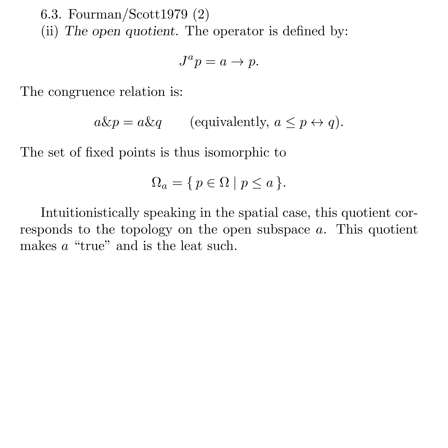6.3. Fourman/Scott1979 (2)

(ii) The open quotient. The operator is defined by:

$$
J^a p = a \to p.
$$

The congruence relation is:

$$
a\&p = a\&q
$$
 (equivalently,  $a \leq p \leftrightarrow q$ ).

The set of fixed points is thus isomorphic to

$$
\Omega_a = \{ p \in \Omega \mid p \le a \}.
$$

Intuitionistically speaking in the spatial case, this quotient corresponds to the topology on the open subspace a. This quotient makes a "true" and is the leat such.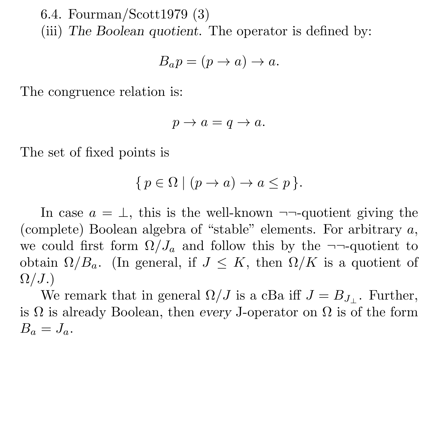6.4. Fourman/Scott1979 (3)

(iii) The Boolean quotient. The operator is defined by:

$$
B_a p = (p \to a) \to a.
$$

The congruence relation is:

$$
p \to a = q \to a.
$$

The set of fixed points is

$$
\{p \in \Omega \mid (p \to a) \to a \le p\}.
$$

In case  $a = \perp$ , this is the well-known  $\neg$ -quotient giving the (complete) Boolean algebra of "stable" elements. For arbitrary a, we could first form  $\Omega/J_a$  and follow this by the  $\neg$ -quotient to obtain  $\Omega/B_a$ . (In general, if  $J \leq K$ , then  $\Omega/K$  is a quotient of  $\Omega/J.$ 

We remark that in general  $\Omega/J$  is a cBa iff  $J = B_J$ . Further, is  $\Omega$  is already Boolean, then every J-operator on  $\Omega$  is of the form  $B_a = J_a$ .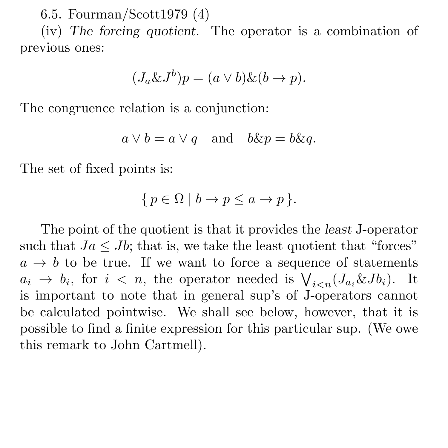6.5. Fourman/Scott1979 (4)

(iv) The forcing quotient. The operator is a combination of previous ones:

$$
(J_a \& J^b)p = (a \lor b)\& (b \to p).
$$

The congruence relation is a conjunction:

$$
a \lor b = a \lor q
$$
 and  $b\&p = b\&q$ .

The set of fixed points is:

$$
\{p \in \Omega \mid b \to p \le a \to p\}.
$$

The point of the quotient is that it provides the least J-operator such that  $Ja < Jb$ ; that is, we take the least quotient that "forces"  $a \rightarrow b$  to be true. If we want to force a sequence of statements  $a_i \rightarrow b_i$ , for  $i < n$ , the operator needed is  $\bigvee_{i \leq n} (J_{a_i} \& J_{b_i})$ . It is important to note that in general sup's of J-operators cannot be calculated pointwise. We shall see below, however, that it is possible to find a finite expression for this particular sup. (We owe this remark to John Cartmell).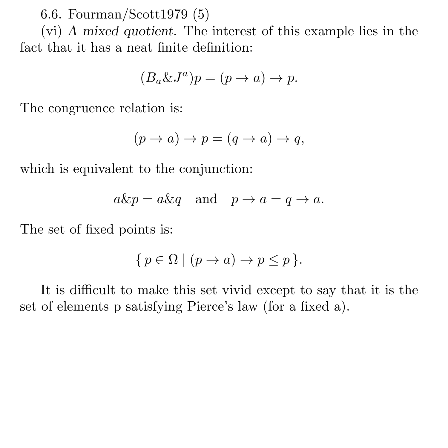6.6. Fourman/Scott1979 (5)

(vi) A mixed quotient. The interest of this example lies in the fact that it has a neat finite definition:

$$
(B_a \& J^a)p = (p \to a) \to p.
$$

The congruence relation is:

$$
(p \to a) \to p = (q \to a) \to q,
$$

which is equivalent to the conjunction:

$$
a\&p = a\&q
$$
 and  $p \rightarrow a = q \rightarrow a$ .

The set of fixed points is:

$$
\{p \in \Omega \mid (p \to a) \to p \le p\}.
$$

It is difficult to make this set vivid except to say that it is the set of elements p satisfying Pierce's law (for a fixed a).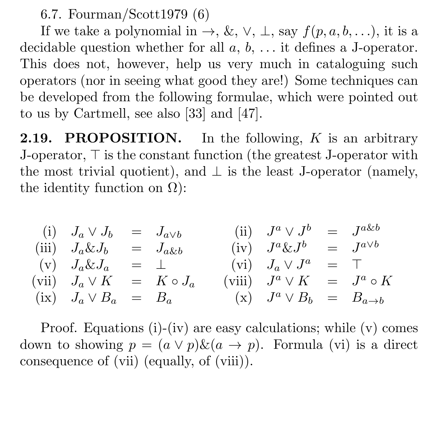6.7. Fourman/Scott1979 (6)

If we take a polynomial in  $\rightarrow$ , &,  $\vee$ ,  $\perp$ , say  $f(p, a, b, \ldots)$ , it is a decidable question whether for all  $a, b, \ldots$  it defines a J-operator. This does not, however, help us very much in cataloguing such operators (nor in seeing what good they are!) Some techniques can be developed from the following formulae, which were pointed out to us by Cartmell, see also [33] and [47].

**2.19. PROPOSITION.** In the following,  $K$  is an arbitrary J-operator,  $\top$  is the constant function (the greatest J-operator with the most trivial quotient), and  $\perp$  is the least J-operator (namely, the identity function on  $\Omega$ ):

| (i) $J_a \vee J_b$              | $=$ $J_{a\vee b}$ | (ii) $J^a \vee J^b$                      | $=$ $J^{a\&b}$   |
|---------------------------------|-------------------|------------------------------------------|------------------|
| (iii) $J_a \& J_b = J_{a \& b}$ |                   | $(iv)$ $J^a \& J^b$                      | $= J^{a \vee b}$ |
| $(v)$ $J_a \& J_a$ = $\perp$    |                   | (vi) $J_a \vee J^a$                      | $=$ T            |
| (vii) $J_a \vee K$              | $=$ $K \circ J_a$ | (viii) $J^a \vee K = J^a \circ K$        |                  |
| $(ix)$ $J_a \vee B_a = B_a$     |                   | (x) $J^a \vee B_b = B_{a \rightarrow b}$ |                  |

Proof. Equations (i)-(iv) are easy calculations; while (v) comes down to showing  $p = (a \vee p) \& (a \rightarrow p)$ . Formula (vi) is a direct consequence of (vii) (equally, of (viii)).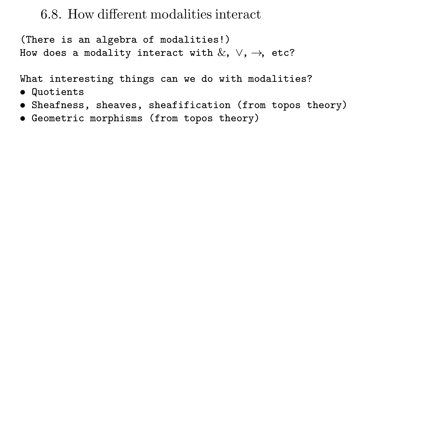# 6.8. How different modalities interact

(There is an algebra of modalities!) How does a modality interact with  $\&$ ,  $\vee$ ,  $\rightarrow$ , etc?

What interesting things can we do with modalities?

- Quotients
- Sheafness, sheaves, sheafification (from topos theory)
- Geometric morphisms (from topos theory)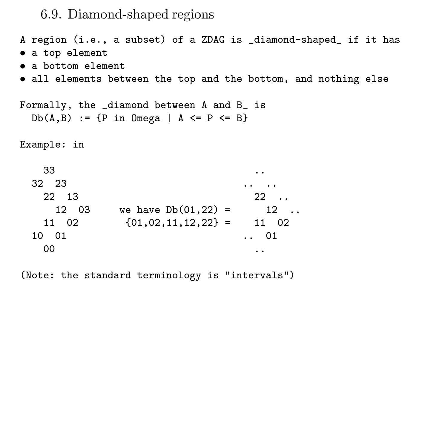6.9. Diamond-shaped regions

A region (i.e., a subset) of a ZDAG is \_diamond-shaped\_ if it has • a top element • a bottom element • all elements between the top and the bottom, and nothing else Formally, the \_diamond between A and B\_ is  $Db(A, B) := \{P \text{ in } Omega \mid A \leq P \leq B\}$ Example: in  $33$  ... 32 23 .. .. 22 13 22 .. 12 03 we have  $Db(01.22) = 12$ . 11 02 {01,02,11,12,22} = 11 02 10 01 .. 01 00 ..

(Note: the standard terminology is "intervals")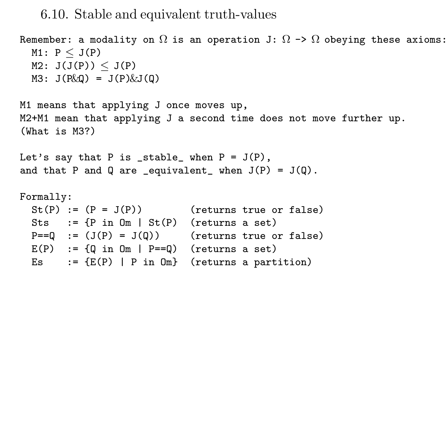6.10. Stable and equivalent truth-values

```
Remember: a modality on \Omega is an operation J: \Omega \rightarrow \Omega obeying these axioms:
  M1: P \leq J(P)M2: J(J(P)) \le J(P)M3: J(P\&Q) = J(P)\&J(Q)M1 means that applying J once moves up,
M2+M1 mean that applying J a second time does not move further up.
(What is M3?)
Let's say that P is _stable_ when P = J(P),
and that P and Q are _equivalent_ when J(P) = J(Q).
Formally:
  St(P) := (P = J(P)) (returns true or false)
  Sts := \{ P \text{ in } \mathbb{O}m \mid \text{St}(P) \text{ (returns a set)} \}P==Q := (J(P) = J(Q)) (returns true or false)
  E(P) := \{Q \text{ in } \mathbb{O}m \mid P == Q\} (returns a set)
  Es := \{E(P) | P \text{ in } 0m\} (returns a partition)
```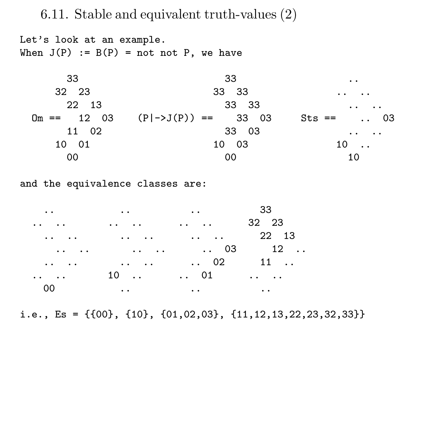6.11. Stable and equivalent truth-values (2)

Let's look at an example. When  $J(P) := B(P) = not not P$ , we have

| 33    | 33                                | $\cdot$ .   |
|-------|-----------------------------------|-------------|
| 32 23 | 33 33                             | $\cdots$    |
| 22 13 | 33 33                             | $\cdots$    |
|       | $Om == 12 03 (P ->J(P)) == 33 03$ | $Sts == 03$ |
| 11 02 | 33 03                             | $\cdots$    |
| 10 01 | 10 03                             | $10 \ldots$ |
| 00    | 00                                | 10          |

and the equivalence classes are:

|          | the state of the state of the state of the state of the state of the state of the state of the state of the state of the state of the state of the state of the state of the state of the state of the state of the state of t | 33 |
|----------|--------------------------------------------------------------------------------------------------------------------------------------------------------------------------------------------------------------------------------|----|
|          | 32 23                                                                                                                                                                                                                          |    |
| $\cdots$ | . 22 13                                                                                                                                                                                                                        |    |
|          | . 03 12                                                                                                                                                                                                                        |    |
|          | $\cdots$ $\cdots$ $\cdots$ $\cdots$ $\cdots$ 02 11 $\cdots$                                                                                                                                                                    |    |
|          | 10   01                                                                                                                                                                                                                        |    |
| - 00     | the contract of the contract of the contract of the contract of the contract of                                                                                                                                                |    |

i.e., Es = {{00}, {10}, {01,02,03}, {11,12,13,22,23,32,33}}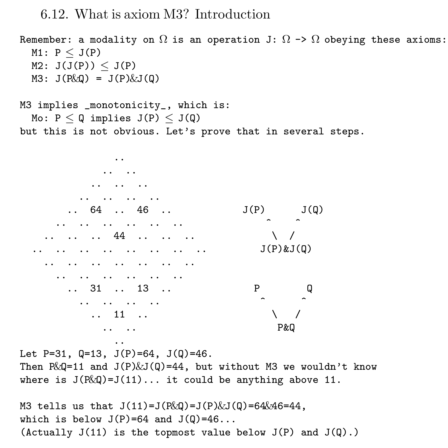6.12. What is axiom M3? Introduction

Remember: a modality on  $\Omega$  is an operation J:  $\Omega \rightarrow \Omega$  obeying these axioms:  $M1: P \leq J(P)$ M2:  $J(J(P)) \le J(P)$  $M3: J(P\&Q) = J(P)\&J(Q)$ M3 implies \_monotonicity\_, which is: Mo:  $P < Q$  implies  $J(P) < J(Q)$ but this is not obvious. Let's prove that in several steps. .. .. .. .. .. .. .. .. .. .. .. 64 .. 46 .. J(P) J(Q) .. .. .. .. .. .. ^ ^ .. .. .. 44 .. .. ..  $\setminus /$ <br>.. .. .. .. .. .. .. J(P)&J(Q) .. .. .. .. .. .. .. .. J(P)&J(Q) .. .. .. .. .. .. ..

.. .. .. .. .. .. .. 31 .. 13 .. P Q .. .. .. .. ^ ^  $\ldots$  11  $\ldots$ .. .. P&Q

..

Let  $P=31$ ,  $Q=13$ ,  $J(P)=64$ ,  $J(Q)=46$ . Then  $P(x)=11$  and  $J(P)\&J(0)=44$ , but without M3 we wouldn't know where is  $J(P(x)) = J(11) \ldots$  it could be anything above 11.

M3 tells us that  $J(11)=J(P\&Q)=J(P)\&J(Q)=64\&46=44$ , which is below  $J(P)=64$  and  $J(Q)=46...$ (Actually  $J(11)$  is the topmost value below  $J(P)$  and  $J(Q)$ .)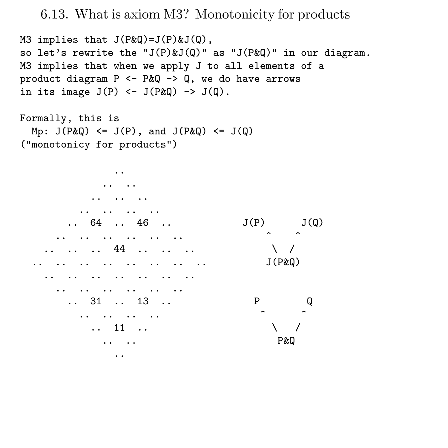6.13. What is axiom M3? Monotonicity for products

```
M3 implies that J(P\&Q)=J(P)\&J(Q),
so let's rewrite the "J(P)&J(Q)" as "J(P&Q)" in our diagram.
M3 implies that when we apply J to all elements of a
product diagram P \leftarrow P \& Q \rightarrow Q, we do have arrows
in its image J(P) <- J(P\&Q) -> J(Q).
Formally, this is
 Mp: J(P\&Q) \leq J(P), and J(P\&Q) \leq J(Q)("monotonicy for products")
              ..
           .. ..
          .. .. ..
        .. .. .. ..
       .64 .46 . J(P) J(Q).. .. .. .. .. .. ^ ^
   .. .. .. 44 .. .. .. \ /
 .. .. .. .. .. .. .. .. .. J(P&Q)
   .. .. .. .. .. .. ..
     .. .. .. .. .. ..
      .. 31 .. 13 .. P
       .. .. .. .. ^ ^
         \cdots 11 \cdots.. .. P&Q
            ..
```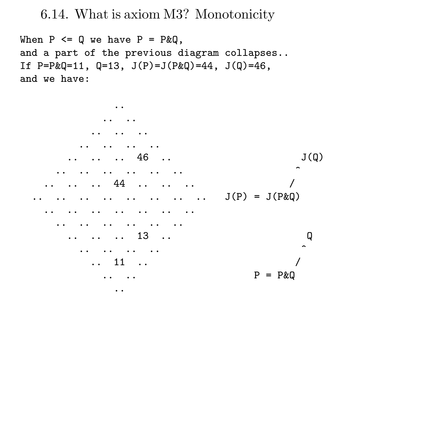6.14. What is axiom M3? Monotonicity

```
When P \le Q we have P = P \& Q,
and a part of the previous diagram collapses..
If P = P \& Q = 11, Q = 13, J(P) = J(P \& Q) = 44, J(Q) = 46,
and we have:
```
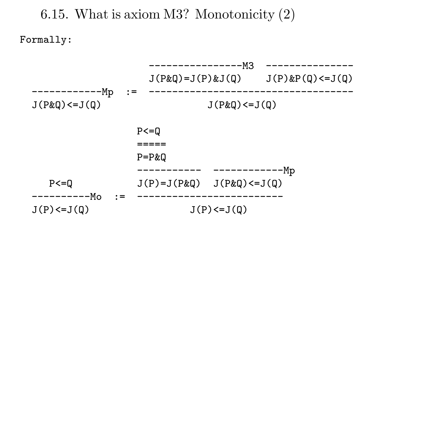6.15. What is axiom M3? Monotonicity (2)

Formally:

----------------M3 ---------------  $J(P \& Q) = J(P) \& J(Q)$   $J(P) \& P(Q) \le J(Q)$ ------------Mp := -----------------------------------  $J(P\&Q) \leq J(Q)$  $P$ <= $Q$  $=$ P=P&Q ----------- ------------Mp  $P \leq Q$   $J(P) = J(P \& Q)$   $J(P \& Q) \leq J(Q)$ ----------Mo := -------------------------  $J(P) \leq J(Q)$   $J(P) \leq J(Q)$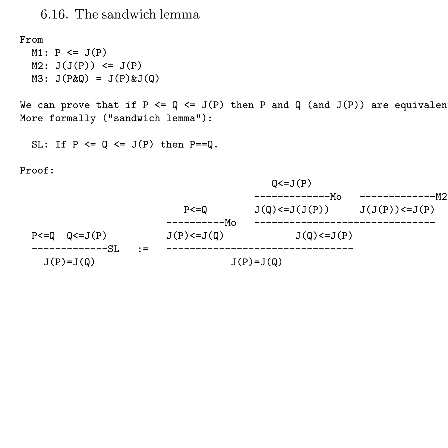### 6.16. The sandwich lemma

From

 $M1: P \le J(P)$  $M2: J(J(P)) \le J(P)$  $M3: J(P&0) = J(P)&J(0)$ 

We can prove that if P  $\leq Q \leq J(P)$  then P and Q (and J(P)) are equivalent More formally ("sandwich lemma"):

SL: If  $P \leq 0 \leq J(P)$  then  $P == 0$ .

Proof:

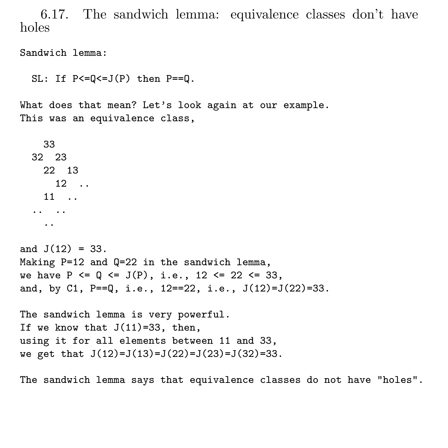6.17. The sandwich lemma: equivalence classes don't have holes

Sandwich lemma:

```
SL: If P<=Q<=J(P) then P==Q.
```
What does that mean? Let's look again at our example. This was an equivalence class,

33 32 23 22 13 12 .. 11 .. .. .. .. and  $J(12) = 33$ . Making P=12 and Q=22 in the sandwich lemma, we have  $P \leq 0 \leq J(P)$ , i.e., 12  $\leq 22 \leq 33$ . and, by C1, P==Q, i.e., 12==22, i.e., J(12)=J(22)=33. The sandwich lemma is very powerful. If we know that  $J(11)=33$ , then, using it for all elements between 11 and 33, we get that  $J(12)=J(13)=J(22)=J(23)=J(32)=33$ .

The sandwich lemma says that equivalence classes do not have "holes".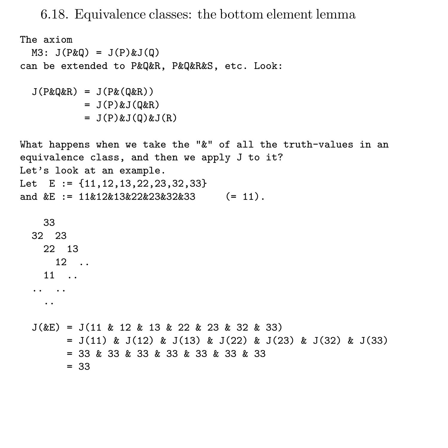6.18. Equivalence classes: the bottom element lemma

The axiom  $M3: J(P&0) = J(P)&J(0)$ can be extended to P&Q&R, P&Q&R&S, etc. Look:

 $J(P\&Q\&R) = J(P\&Q\&R))$  $= J(P) & J(Q k R)$  $= J(P) & J(Q) & J(R)$ 

What happens when we take the "&" of all the truth-values in an equivalence class, and then we apply J to it? Let's look at an example. Let E := {11,12,13,22,23,32,33} and  $k = 11k12k13k22k23k32k33$  (= 11).

```
33
32 23
 22 13
  12 ..
 11 ..
.. ..
 ..
J(kE) = J(11 \& 12 \& 13 \& 22 \& 23 \& 32 \& 33)= J(11) & J(12) & J(13) & J(22) & J(23) & J(32) & J(33)
     = 33 & 33 & 33 & 33 & 33 & 33 & 33
      = 33
```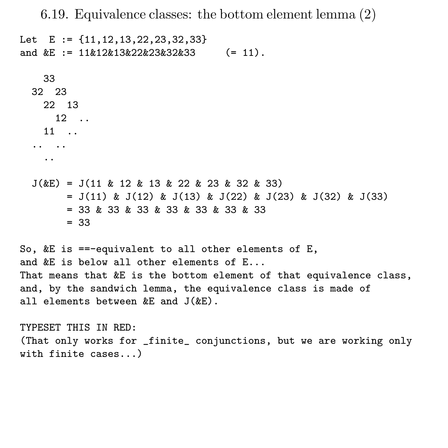6.19. Equivalence classes: the bottom element lemma (2)

```
Let E := {11,12,13,22,23,32,33}
and &E := 11&12&13&22&23&32&33 (= 11).
   33
 32 23
   22 13
    12 ..
   11 ..
  .. ..
   ..
 J(kE) = J(11 \& 12 \& 13 \& 22 \& 23 \& 32 \& 33)= J(11) & J(12) & J(13) & J(22) & J(23) & J(32) & J(33)= 33 & 33 & 33 & 33 & 33 & 33 & 33
       = 33
So, &E is ==-equivalent to all other elements of E,
and &E is below all other elements of E...
That means that &E is the bottom element of that equivalence class,
and, by the sandwich lemma, the equivalence class is made of
all elements between &E and J(&E).
TYPESET THIS IN RED:
```
(That only works for \_finite\_ conjunctions, but we are working only with finite cases...)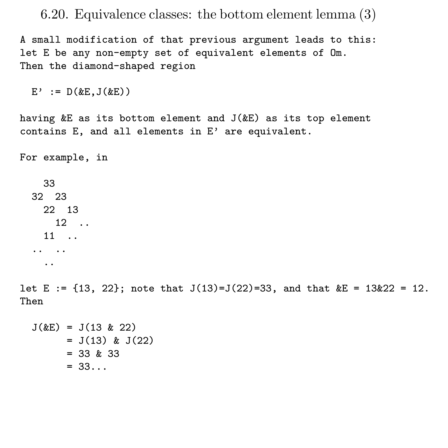6.20. Equivalence classes: the bottom element lemma (3)

A small modification of that previous argument leads to this: let E be any non-empty set of equivalent elements of Om. Then the diamond-shaped region

 $E' := D(kE, J(kE))$ 

having &E as its bottom element and J(&E) as its top element contains E, and all elements in E' are equivalent.

For example, in

33 32 23 22 13 12 .. 11 .. .. .. ..

let E :=  $\{13, 22\}$ ; note that  $J(13)=J(22)=33$ , and that  $kE = 13k22 = 12$ . Then

$$
J(\&E) = J(13 \& 22)
$$
  
= J(13) & J(22)  
= 33 & 33  
= 33...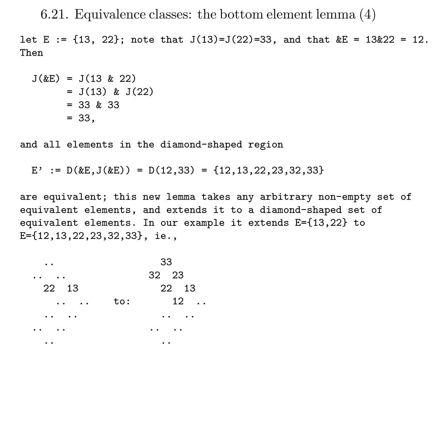6.21. Equivalence classes: the bottom element lemma (4)

let E :=  $\{13, 22\}$ ; note that  $J(13)=J(22)=33$ , and that  $kE = 13k22 = 12$ . Then

$$
J(kE) = J(13 & 22)
$$
  
= J(13) & J(22)  
= 33 & 33  
= 33,

and all elements in the diamond-shaped region

E' :=  $D(kE, J(kE)) = D(12,33) = {12,13,22,23,32,33}$ 

are equivalent; this new lemma takes any arbitrary non-empty set of equivalent elements, and extends it to a diamond-shaped set of equivalent elements. In our example it extends E={13,22} to E={12,13,22,23,32,33}, ie.,

|          | 33  |             |
|----------|-----|-------------|
|          |     | 32 23       |
| 22 13    |     | 22 13       |
| $\cdots$ | to: | $12 \ldots$ |
| .        |     |             |
|          |     |             |
|          |     |             |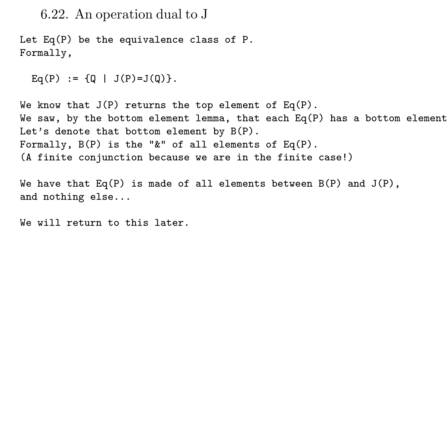6.22. An operation dual to J

Let Eq(P) be the equivalence class of P. Formally,

 $Eq(P) := \{Q | J(P)=J(Q)\}.$ 

We know that  $J(P)$  returns the top element of  $Eq(P)$ . We saw, by the bottom element lemma, that each  $Eq(P)$  has a bottom element Let's denote that bottom element by B(P). Formally,  $B(P)$  is the " $k$ " of all elements of  $Eq(P)$ . (A finite conjunction because we are in the finite case!)

We have that  $Eq(P)$  is made of all elements between  $B(P)$  and  $J(P)$ , and nothing else...

We will return to this later.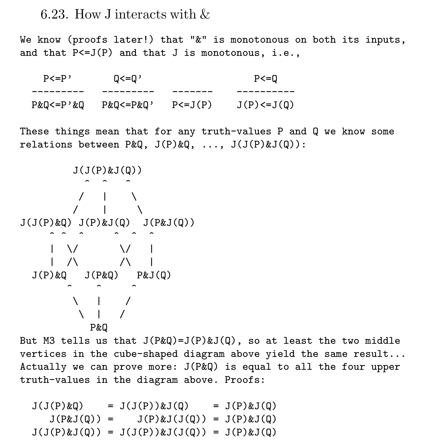6.23. How J interacts with  $\&$ 

We know (proofs later!) that "&" is monotonous on both its inputs, and that P<=J(P) and that J is monotonous, i.e.,

| $P \le P'$ | $0 < = 0'$     |              | $P \leq 0$      |
|------------|----------------|--------------|-----------------|
|            |                |              |                 |
| P&O<=P'&O  | $P&Q\leq P&Q'$ | $P \le J(P)$ | $J(P) \le J(Q)$ |

These things mean that for any truth-values P and Q we know some relations between  $P\&Q, J(P)\&Q, \ldots, J(J(P)\&J(Q))$ :

```
J(J(P)&J(Q))
              \hat{\phantom{a}} \hat{\phantom{a}} \hat{\phantom{a}} \hat{\phantom{a}}/ | \
           \prime | \
J(J(P)&Q) J(P)&J(Q) J(P&J(Q))
      \bullet \bullet \bullet \bullet \bullet \bullet| \/ \/ |
      | /\ /\ |
  J(P)&Q J(P&Q) P&J(Q)
          \hat{a} \hat{a} \hat{a} \hat{a}\backslash | /
             \ | /
               P&Q
But M3 tells us that J(P\&Q)=J(P)\&J(Q), so at least the two middle
vertices in the cube-shaped diagram above yield the same result...
```
Actually we can prove more: J(P&Q) is equal to all the four upper truth-values in the diagram above. Proofs:

```
J(J(P) \& Q) = J(J(P)) \& J(Q) = J(P) \& J(Q)J(P&J(0)) = J(P)&J(J(0)) = J(P)&J(0)J(J(P) & J(Q)) = J(J(P)) & J(J(Q)) = J(P) & J(Q)
```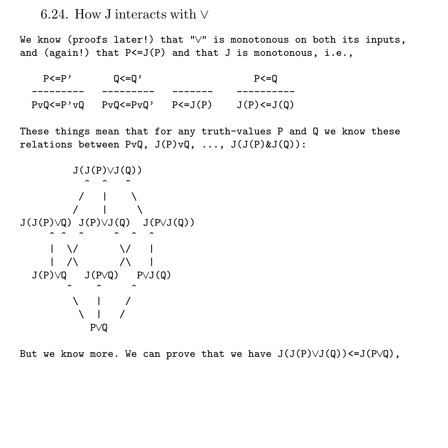6.24. How J interacts with ∨

We know (proofs later!) that "∨" is monotonous on both its inputs, and (again!) that P<=J(P) and that J is monotonous, i.e.,

| $P \le P'$     | $0 < = 0'$     |              | $P \leq 0$      |
|----------------|----------------|--------------|-----------------|
|                |                |              |                 |
| $PvQ \le P'vQ$ | $Pv0 \le Pv0'$ | $P \le J(P)$ | $J(P) \le J(Q)$ |

These things mean that for any truth-values P and Q we know these relations between  $PvQ$ ,  $J(P)vQ$ , ...,  $J(J(P) & J(Q))$ :

```
J(J(P)\vee J(Q))\hat{\phantom{a}} \hat{\phantom{a}} \hat{\phantom{a}} \hat{\phantom{a}}/ | \
              \prime | \
J(J(P)∨Q) J(P)∨J(Q) J(P∨J(Q))
        \bullet \bullet \bullet \bullet \bullet \bullet| \/ \/ |
        | /\ /\ |
   J(P)∨Q J(P∨Q) P∨J(Q)
            \hat{a} \hat{a} \hat{a} \hat{a}\backslash | /
               \ | /
                  P∨Q
```
But we know more. We can prove that we have  $J(J(P)\vee J(Q))\leq J(P\vee Q)$ ,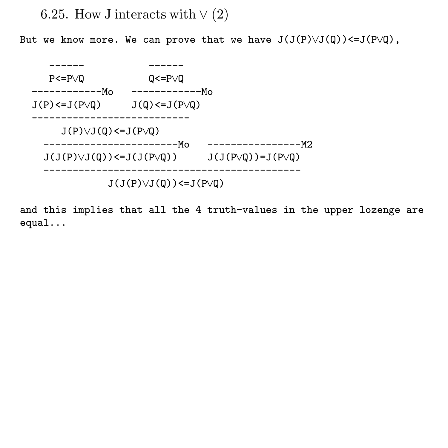### 6.25. How J interacts with  $\vee$  (2)

But we know more. We can prove that we have  $J(J(P)\vee J(Q))\leq J(P\vee Q)$ ,

------ ------ P<=P∨Q Q<=P∨Q ------------Mo ------------Mo  $J(P) \leq J(P \vee Q)$   $J(Q) \leq J(P \vee Q)$ --------------------------- J(P)∨J(Q)<=J(P∨Q) -----------------------Mo ----------------M2  $J(J(P)\vee J(Q))\leq J(J(P\vee Q))$   $J(J(P\vee Q))=J(P\vee Q)$ --------------------------------------------  $J(J(P)\vee J(Q))\leq J(P\vee Q)$ 

and this implies that all the 4 truth-values in the upper lozenge are equal...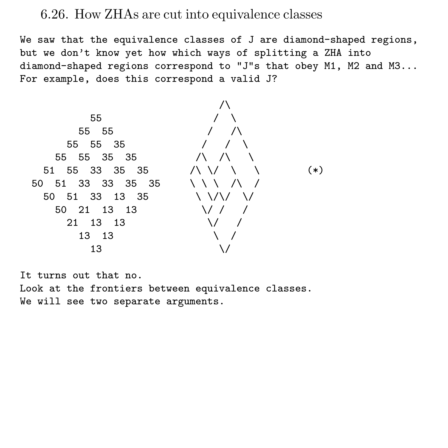### 6.26. How ZHAs are cut into equivalence classes

We saw that the equivalence classes of J are diamond-shaped regions, but we don't know yet how which ways of splitting a ZHA into diamond-shaped regions correspond to "J"s that obey M1, M2 and M3... For example, does this correspond a valid J?

/\ 55 / \ 55 55 / /\ 55 55 35 / / \ 55 55 35 35 /\ /\ \ 51 55 33 35 35 /\ \/ \ \ (\*) 50 51 33 33 35 35 \ \ \ /\ / 50 51 33 13 35 \ \/\/ \/ 50 21 13 13 \/ / / 21 13 13 \/ / 13 13 \ / 13 \/

It turns out that no. Look at the frontiers between equivalence classes. We will see two separate arguments.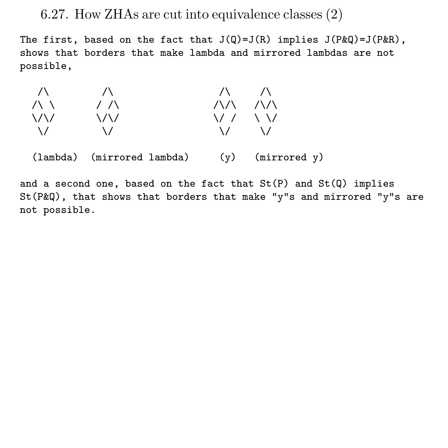## 6.27. How ZHAs are cut into equivalence classes (2)

The first, based on the fact that  $J(Q)=J(R)$  implies  $J(P\&Q)=J(P\&R)$ , shows that borders that make lambda and mirrored lambdas are not possible,

| $\sqrt{ }$ | $\sqrt{ }$  | $\sqrt{ }$  | $\sqrt{ }$ |
|------------|-------------|-------------|------------|
| ハヽ         | $/$ $/$     | ハハ          | $\sqrt{2}$ |
| \/\/       | $\sqrt{\}}$ | $\sqrt{}$   | \\/        |
| $\vee$     | $\lambda$ / | $\lambda$ / | $\sqrt{ }$ |
|            |             |             |            |

(lambda) (mirrored lambda) (y) (mirrored y)

and a second one, based on the fact that  $St(P)$  and  $St(Q)$  implies  $St(P\&Q)$ , that shows that borders that make "y"s and mirrored "y"s are not possible.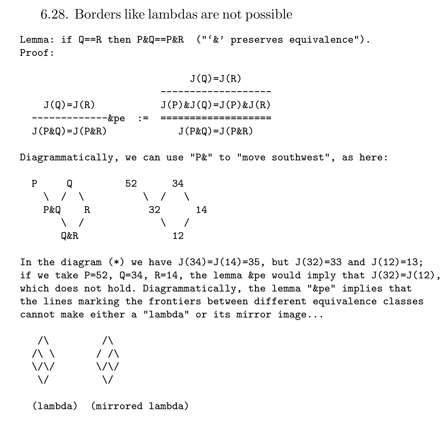6.28. Borders like lambdas are not possible

Lemma: if Q==R then P&Q==P&R ("'&' preserves equivalence"). Proof:

 $J(Q)=J(R)$ -------------------  $J(Q) = J(R)$   $J(P) & J(Q) = J(P) & J(R)$ -------------&pe := =================== J(P&Q)=J(P&R) J(P&Q)=J(P&R)

Diagrammatically, we can use "P&" to "move southwest", as here:

| Ρ<br>O   | 34<br>52 |
|----------|----------|
|          |          |
| P&Q<br>R | 14<br>32 |
|          |          |
| Q&R      | 12       |

In the diagram  $(*)$  we have  $J(34)=J(14)=35$ , but  $J(32)=33$  and  $J(12)=13$ ; if we take  $P=52$ ,  $Q=34$ ,  $R=14$ , the lemma &pe would imply that  $J(32)=J(12)$ , which does not hold. Diagrammatically, the lemma "&pe" implies that the lines marking the frontiers between different equivalence classes cannot make either a "lambda" or its mirror image...

$$
\begin{array}{ccc}\n\wedge & \wedge \\
\wedge \wedge & \wedge \\
\vee \vee & & \vee \\
\vee & & \vee\n\end{array}
$$

(lambda) (mirrored lambda)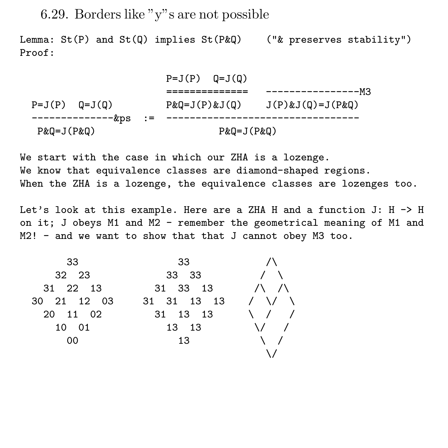6.29. Borders like "y"s are not possible

Lemma:  $St(P)$  and  $St(Q)$  implies  $St(P\&Q)$  (" $\&$  preserves stability") Proof:

 $P=J(P)$   $Q=J(Q)$ ============== ----------------M3  $P=J(P)$   $Q=J(Q)$   $P\&Q=J(P)\&J(Q)$   $J(P)\&J(Q)=J(P\&Q)$ --------------&ps := --------------------------------- P&Q=J(P&Q) P&Q=J(P&Q)

We start with the case in which our ZHA is a lozenge. We know that equivalence classes are diamond-shaped regions. When the ZHA is a lozenge, the equivalence classes are lozenges too.

Let's look at this example. Here are a ZHA H and a function J: H -> H on it; J obeys M1 and M2 - remember the geometrical meaning of M1 and M2! - and we want to show that that J cannot obey M3 too.

| 33          | 33          |                   |
|-------------|-------------|-------------------|
| 32 23       | 33 33       | $\sqrt{ }$        |
| 31 22 13    | 31 33 13    | $\wedge$ $\wedge$ |
| 30 21 12 03 | 31 31 13 13 | $1$ $1$           |
| 20 11 02    | 31 13 13    | $\setminus$ / /   |
| 10 01       | 13 13       | $\sqrt{ }$        |
| $_{00}$     | 13          | $\sqrt{ }$        |
|             |             |                   |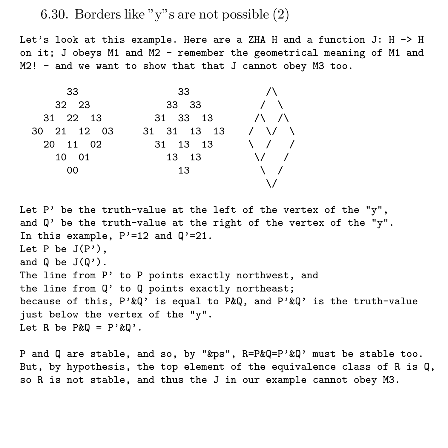### 6.30. Borders like "y"s are not possible (2)

Let's look at this example. Here are a ZHA H and a function J: H -> H on it; J obeys M1 and M2 - remember the geometrical meaning of M1 and M2! - and we want to show that that J cannot obey M3 too.

```
33 \land32 23 33 33 / \
 31 22 13 31 33 13 /\ /\
30 21 12 03 31 31 13 13 / \/ \
 20 11 02 31 13 13 \ / /
  10 01 13 13 \/ /
   00 13 \sqrt{7}\/
```
Let  $P'$  be the truth-value at the left of the vertex of the "y", and  $Q'$  be the truth-value at the right of the vertex of the "y". In this example,  $P'=12$  and  $Q'=21$ . Let  $P$  be  $J(P')$ , and  $\theta$  be  $J(\theta')$ . The line from P' to P points exactly northwest, and the line from Q' to Q points exactly northeast; because of this,  $P' \& Q'$  is equal to  $P \& Q$ , and  $P' \& Q'$  is the truth-value just below the vertex of the "y". Let R be  $P\&Q = P'\&Q'$ .

P and Q are stable, and so, by "&ps", R=P&Q=P'&Q' must be stable too. But, by hypothesis, the top element of the equivalence class of R is Q, so R is not stable, and thus the J in our example cannot obey M3.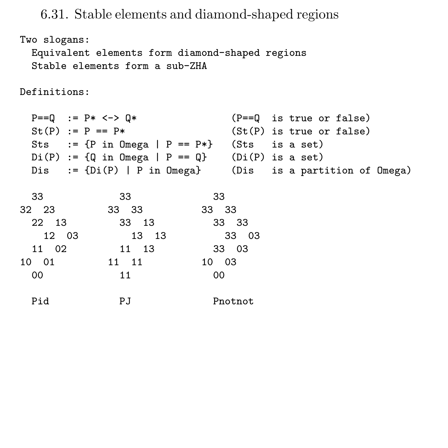### 6.31. Stable elements and diamond-shaped regions

```
Two slogans:
 Equivalent elements form diamond-shaped regions
 Stable elements form a sub-ZHA
Definitions:
 P==Q := P* \leq S Q* (P==Q is true or false)
 St(P) := P == P* (St(P) is true or false)
 Sts := \{P \text{ in } \mathbb{O} \text{mega } | P == P*\} (Sts is a set)
 Di(P) := \{Q \text{ in } \mathbb{O} \text{mega } | P == Q\} (Di(P) is a set)
 Dis := {Di(P) | P in Omega} (Dis is a partition of Omega)
 33 33 33
32 23 33 33 33 33
 22 13 33 13 33 33
  12 03 13 13 33 03
 11 02 11 13 33 03
10 01 11 11 10 03
 00 11 00
 Pid PJ Pnotnot
```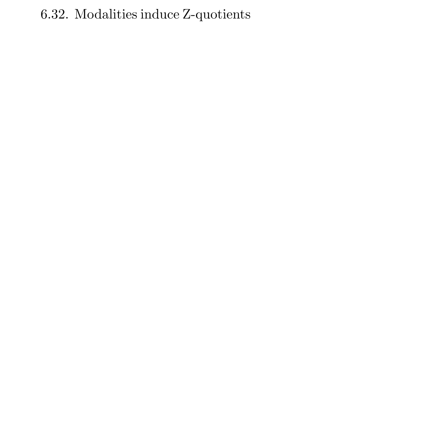# 6.32. Modalities induce Z-quotients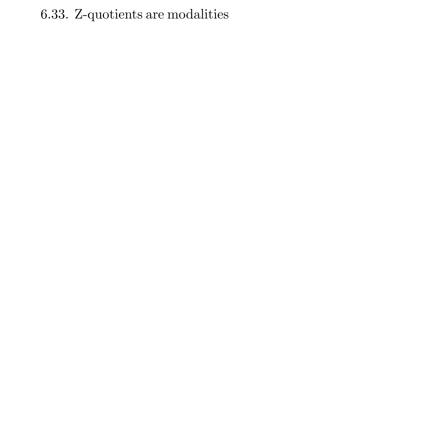# 6.33. Z-quotients are modalities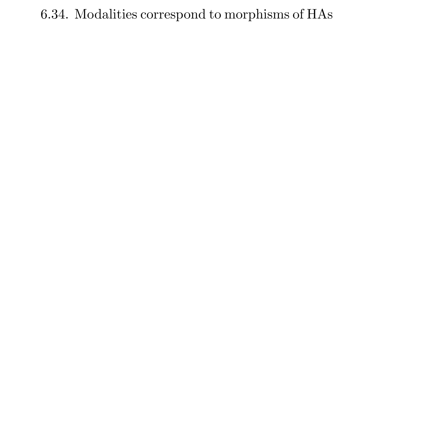# $6.34.$  Modalities correspond to morphisms of  $\rm HAS$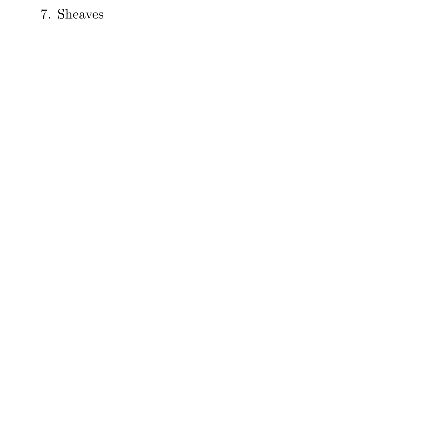### 7. Sheaves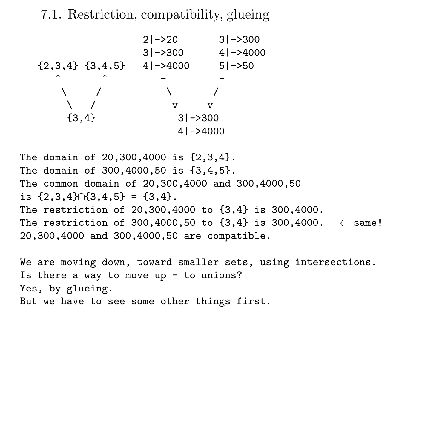7.1. Restriction, compatibility, glueing

|                                                      | $21 - 20$     | $31 - 300$    |  |  |  |
|------------------------------------------------------|---------------|---------------|--|--|--|
|                                                      | $31 - 300$    | $41 - > 4000$ |  |  |  |
| $\{2,3,4\}$ $\{3,4,5\}$                              | $41 - > 4000$ | $51 - > 50$   |  |  |  |
| $\overline{\phantom{0}}$<br>$\overline{\phantom{0}}$ |               |               |  |  |  |
|                                                      |               |               |  |  |  |
|                                                      | v             |               |  |  |  |
| $\{3,4\}$                                            | $3 -300$      |               |  |  |  |
|                                                      | $41 - > 4000$ |               |  |  |  |
|                                                      |               |               |  |  |  |

The domain of 20,300,4000 is {2,3,4}. The domain of 300,4000,50 is {3,4,5}. The common domain of 20,300,4000 and 300,4000,50 is {2,3,4}∩{3,4,5} = {3,4}. The restriction of 20,300,4000 to {3,4} is 300,4000. The restriction of 300,4000,50 to  $\{3,4\}$  is 300,4000.  $\leftarrow$  same! 20,300,4000 and 300,4000,50 are compatible.

We are moving down, toward smaller sets, using intersections. Is there a way to move up  $-$  to unions? Yes, by glueing. But we have to see some other things first.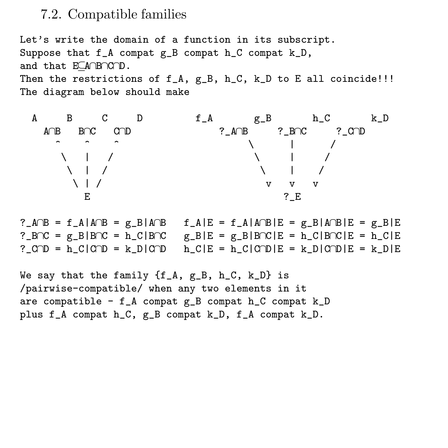#### 7.2. Compatible families

Let's write the domain of a function in its subscript. Suppose that f\_A compat g\_B compat h\_C compat k\_D, and that E⊆A∩B∩C∩D. Then the restrictions of  $f_A$ ,  $g_B$ ,  $h_C$ ,  $k_D$  to E all coincide!!! The diagram below should make

| A |        | B C                     |                 |                     | D | $f_A$ |  |            | g_B h_C                                      | k D |
|---|--------|-------------------------|-----------------|---------------------|---|-------|--|------------|----------------------------------------------|-----|
|   | A∩B    | $B \cap C$              |                 | <b>COD</b>          |   |       |  |            | $?$ $A \cap B$ $?$ $B \cap C$ $?$ $C \cap D$ |     |
|   | $\sim$ |                         | $\sim$          | $\hat{\phantom{a}}$ |   |       |  |            | $\sqrt{2}$                                   |     |
|   |        | $\setminus$ $\setminus$ |                 |                     |   |       |  | $\sqrt{1}$ |                                              |     |
|   |        | $\setminus$ $\top$ /    |                 |                     |   |       |  | $\sqrt{1}$ |                                              |     |
|   |        |                         | $\setminus$ 1 / |                     |   |       |  | v v v      |                                              |     |
|   |        |                         |                 |                     |   |       |  | ? E        |                                              |     |

?\_ $A \cap B = f_A | A \cap B = g_B | A \cap B$   $f_A | E = f_A | A \cap B | E = g_B | A \cap B | E = g_B | E$ ?\_B∩C =  $g_B|B ∩ C = h_C|B ∩ C$   $g_B|E = g_B|B ∩ C|E = h_C|B ∩ C|E = h_C|E$ ?  $C \cap D = h$   $C|C \cap D = k$   $D|C \cap D$  h  $C|E = h$   $C|C \cap D|E = k$   $D|C \cap D|E = k$   $D|E$ 

We say that the family  $\{f_A, g_B, h_C, k_D\}$  is /pairwise-compatible/ when any two elements in it are compatible - f\_A compat g\_B compat h\_C compat k\_D plus f\_A compat h\_C, g\_B compat k\_D, f\_A compat k\_D.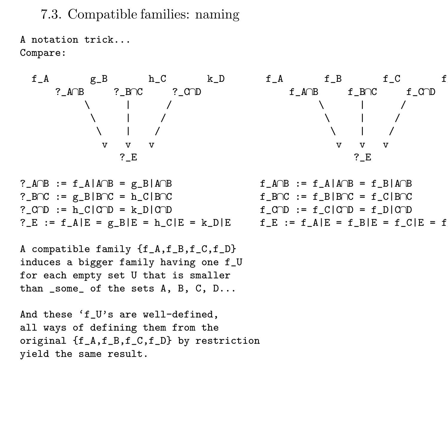### 7.3. Compatible families: naming

A notation trick... Compare:

?\_A∩B :=  $f_A|A\cap B = g_B|A\cap B$   $f_A\cap B := f_A|A\cap B = f_B|A\cap B$  $?\_B \cap C := g\_B \cap C = h\_C \cap C$ <br> $?\_G \cap D := h\_C \cap C = k\_D \cap C$  f\_G $\cap D := f\_C \cap D = f\_D \cap C$ ?  $E := f_A |E = g_B |E = h_C |E = k_D |E$   $f_E := f_A |E = f_B |E = f_C |E = f$ 

A compatible family {f\_A,f\_B,f\_C,f\_D} induces a bigger family having one f\_U for each empty set U that is smaller than \_some\_ of the sets A, B, C, D...

And these 'f\_U's are well-defined, all ways of defining them from the original {f\_A,f\_B,f\_C,f\_D} by restriction yield the same result.

 $f_A$  g\_B h\_C k\_D  $f_A$   $f_B$   $f_C$  f ?\_A∩B ?\_B∩C ?\_C∩D f\_A∩B f\_B∩C f\_C∩D  $\setminus$   $\begin{array}{ccc} \setminus & \setminus & \setminus & \setminus \end{array}$  $\setminus$  | /  $\setminus$  | /  $\setminus$  | /  $\setminus$  | / v v v v v v  $?$   $E$   $?$   $E$  $f$ \_C∩D :=  $f$ \_C|C∩D =  $f$ \_D|C∩D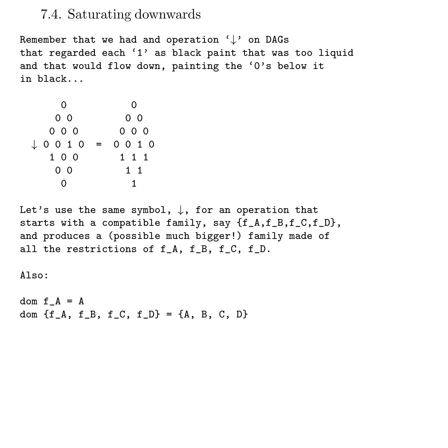### 7.4. Saturating downwards

Remember that we had and operation '↓' on DAGs that regarded each '1' as black paint that was too liquid and that would flow down, painting the '0's below it in black...

$$
\begin{array}{cccc} & 0 & & 0 \\ & 0 & & 0 \\ & 0 & 0 & 0 \\ \end{array} \\ \begin{array}{c} 0 & 0 & 0 \\ 0 & 0 & 0 \\ \end{array}
$$

Let's use the same symbol,  $\downarrow$ , for an operation that starts with a compatible family, say {f\_A,f\_B,f\_C,f\_D}, and produces a (possible much bigger!) family made of all the restrictions of f\_A, f\_B, f\_C, f\_D.

Also:

dom  $f_A = A$ dom  ${f_A, f_B, f_C, f_D} = {A, B, C, D}$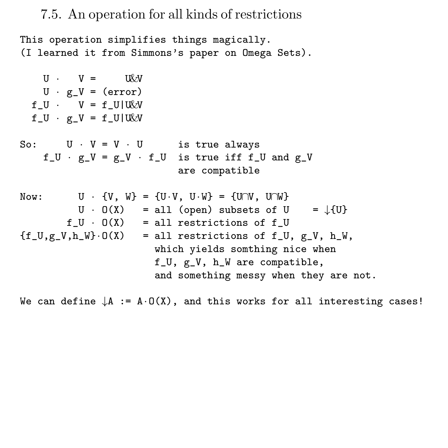#### 7.5. An operation for all kinds of restrictions

This operation simplifies things magically. (I learned it from Simmons's paper on Omega Sets).  $U \cdot V = U \& V$  $U \cdot g_{V} = (error)$ f  $U$  ·  $V = f$  U|U&V  $f_U \cdot g_V = f_U|U \times V$ So:  $U \cdot V = V \cdot U$  is true always  $f_U \cdot g_V = g_V \cdot f_U$  is true iff  $f_U$  and  $g_V$ are compatible Now:  $U \cdot \{V, W\} = \{U \cdot V, U \cdot W\} = \{U \cap V, U \cap W\}$  $U \cdot 0(X) = all (open) subsets of U = \downarrow{U}$  $f_U \cdot 0(X) = all restrictions of f_U$  ${f\_U, g\_V, h\_W} \cdot O(X)$  = all restrictions of f\_U, g\_V, h\_W, which yields somthing nice when f\_U, g\_V, h\_W are compatible, and something messy when they are not.

We can define  $\downarrow$  := A·O(X), and this works for all interesting cases!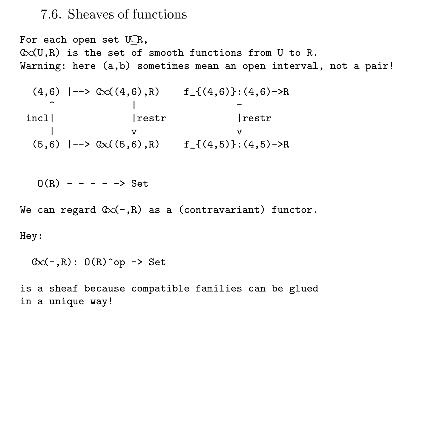#### 7.6. Sheaves of functions

For each open set U⊆R, C∞(U,R) is the set of smooth functions from U to R. Warning: here (a,b) sometimes mean an open interval, not a pair!

(4,6)  $| \rightarrow \infty((4,6), R)$  f\_{(4,6)}:(4,6)->R  $\uparrow$   $\uparrow$   $\uparrow$   $\uparrow$   $\uparrow$   $\uparrow$   $\uparrow$   $\uparrow$   $\uparrow$ incl| |restr |restr | v v (5,6)  $|-> \mathbb{C}((5,6), R) \qquad f_{-}((4,5)): (4,5)-\infty$ 

 $O(R)$  - - - - -> Set

We can regard C∞(-,R) as a (contravariant) functor.

Hey:

 $\mathbb{C}\times$ (-,R):  $0(R)$  op -> Set

is a sheaf because compatible families can be glued in a unique way!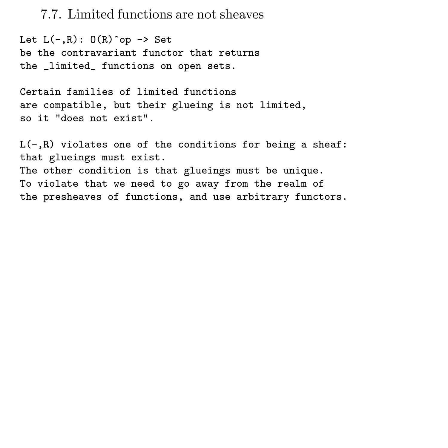7.7. Limited functions are not sheaves

Let  $L(-, R)$ :  $O(R)$  op  $\rightarrow$  Set be the contravariant functor that returns the \_limited\_ functions on open sets.

Certain families of limited functions are compatible, but their glueing is not limited, so it "does not exist".

 $L(-, R)$  violates one of the conditions for being a sheaf: that glueings must exist. The other condition is that glueings must be unique. To violate that we need to go away from the realm of the presheaves of functions, and use arbitrary functors.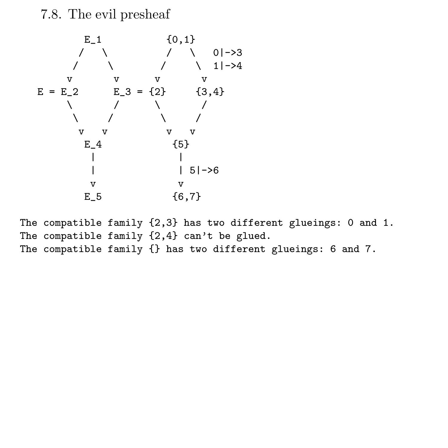7.8. The evil presheaf



The compatible family {2,3} has two different glueings: 0 and 1. The compatible family {2,4} can't be glued. The compatible family {} has two different glueings: 6 and 7.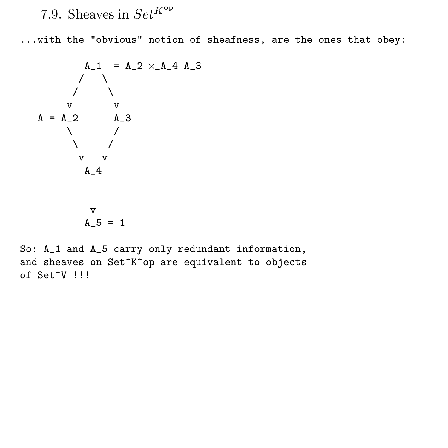7.9. Sheaves in  $Set^{K^{op}}$ 

...with the "obvious" notion of sheafness, are the ones that obey:

$$
A_1 = A_2 \times A_4 A_3
$$
\n
$$
A = A_2
$$
\n
$$
A = A_3
$$
\n
$$
A_1
$$
\n
$$
A_2
$$
\n
$$
A_3
$$
\n
$$
A_4
$$
\n
$$
A_4
$$
\n
$$
I
$$
\n
$$
V
$$
\n
$$
A_5 = 1
$$

So: A\_1 and A\_5 carry only redundant information, and sheaves on Set^K^op are equivalent to objects of Set<sup>~</sup>V !!!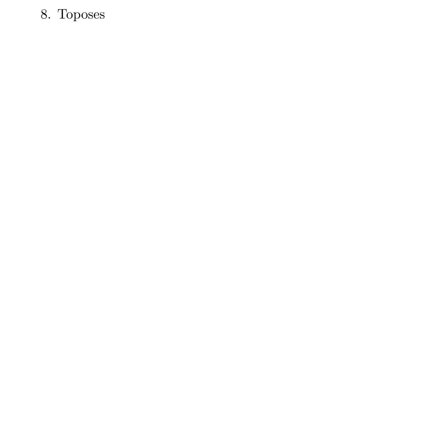### 8. Toposes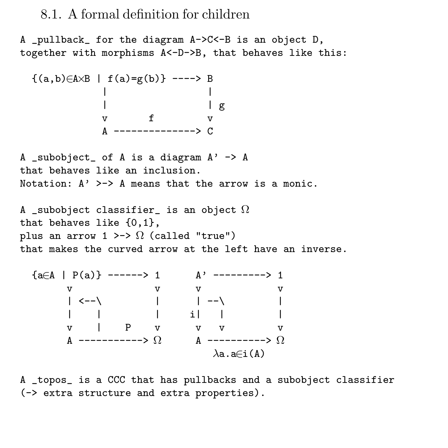### 8.1. A formal definition for children

A \_pullback\_ for the diagram A->C<-B is an object D, together with morphisms A<-D->B, that behaves like this:

 $\{(a,b)\in A\times B \mid f(a)=g(b)\}$  ----> B | |  $|$  and  $|$  g  $|$  g  $|$  g  $|$  g  $|$  g  $|$  g  $|$  g  $|$  g  $|$  g  $|$  g  $|$  g  $|$  g  $|$  g  $|$  g  $|$  g  $|$  g  $|$  g  $|$  g  $|$  g  $|$  g  $|$  g  $|$  g  $|$  g  $|$  g  $|$  g  $|$  g  $|$  g  $|$  g  $|$  g  $|$  g  $|$  g  $|$  g  $|$  g  $|$  g  $|$  g  $|$ v f v A --------------> C A \_subobject\_ of A is a diagram  $A' \rightarrow A$ that behaves like an inclusion. Notation:  $A'$  >-> A means that the arrow is a monic. A \_subobject classifier\_ is an object  $\Omega$ that behaves like {0,1}, plus an arrow  $1 \rightarrow \Omega$  (called "true") that makes the curved arrow at the left have an inverse.  ${a \in A \mid P(a)}$  ------> 1  $A'$  ---------> 1 v v v v | <--\ | | --\ | | | | i| | | v | P v v v v A ----------->  $\Omega$  A ---------->  $\Omega$ 

A \_topos\_ is a CCC that has pullbacks and a subobject classifier (-> extra structure and extra properties).

 $\lambda$ a.a∈i(A)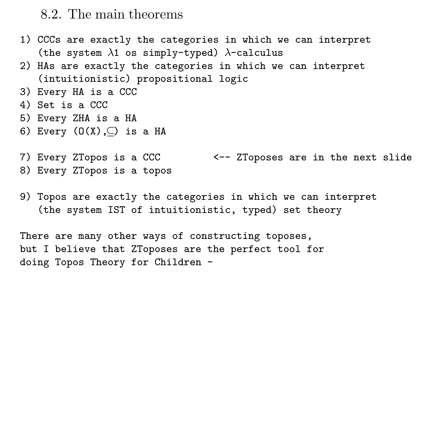#### 8.2. The main theorems

- 1) CCCs are exactly the categories in which we can interpret (the system  $\lambda$ 1 os simply-typed)  $\lambda$ -calculus
- 2) HAs are exactly the categories in which we can interpret (intuitionistic) propositional logic
- 3) Every HA is a CCC
- 4) Set is a CCC
- 5) Every ZHA is a HA
- 6) Every  $(0(X), \subseteq)$  is a HA
- 7) Every ZTopos is a CCC <-- ZToposes are in the next slide
- 8) Every ZTopos is a topos
- 9) Topos are exactly the categories in which we can interpret (the system IST of intuitionistic, typed) set theory

There are many other ways of constructing toposes, but I believe that ZToposes are the perfect tool for doing Topos Theory for Children -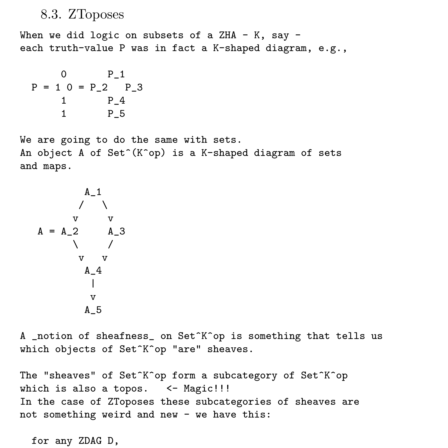#### 8.3. ZToposes

When we did logic on subsets of a ZHA - K, say each truth-value P was in fact a K-shaped diagram, e.g.,

$$
P = 1 \t 0 = P_2 \t P_3
$$
  
1 \t P\_4  
1 \t P\_5

We are going to do the same with sets. An object A of Set<sup>^</sup>(K^op) is a K-shaped diagram of sets and maps.

$$
A = 1
$$
\n
$$
A = A_2
$$
\n
$$
A = 3
$$
\n
$$
A_4
$$
\n
$$
A_4
$$
\n
$$
V
$$
\n
$$
A_2
$$
\n
$$
V
$$
\n
$$
A_5
$$

A \_notion of sheafness\_ on Set^K^op is something that tells us which objects of Set^K^op "are" sheaves.

The "sheaves" of Set^K^op form a subcategory of Set^K^op which is also a topos. <- Magic!!! In the case of ZToposes these subcategories of sheaves are not something weird and new - we have this:

```
for any ZDAG D,
```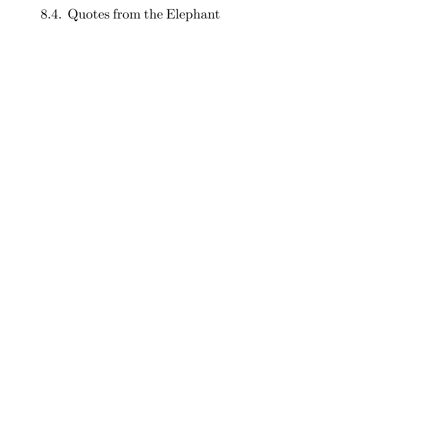# 8.4. Quotes from the Elephant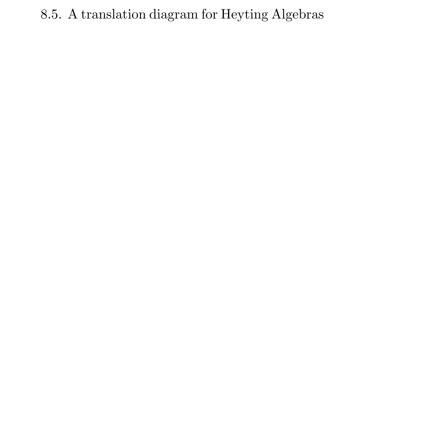# 8.5. A translation diagram for Heyting Algebras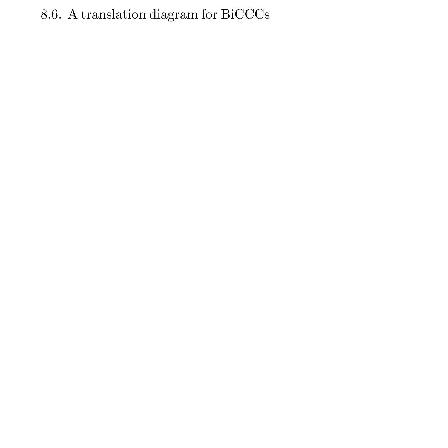# 8.6. A translation diagram for  $\operatorname{BiCCCs}$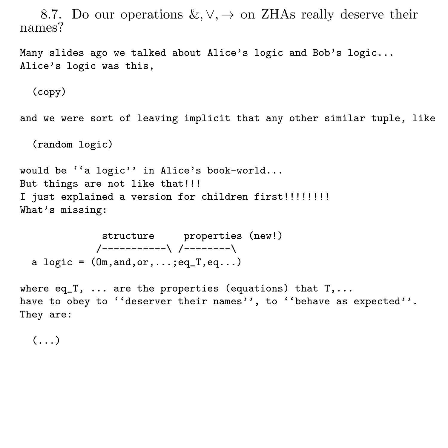8.7. Do our operations  $\&, \vee, \rightarrow$  on ZHAs really deserve their names?

Many slides ago we talked about Alice's logic and Bob's logic... Alice's logic was this,

(copy)

and we were sort of leaving implicit that any other similar tuple, like

(random logic)

would be ''a logic'' in Alice's book-world... But things are not like that!!! I just explained a version for children first!!!!!!!!! What's missing:

structure properties (new!) /-----------\ /--------\ a  $logic = (0m, and, or, \ldots; eq_T, eq...)$ 

where eq\_T,  $\dots$  are the properties (equations) that  $T\dots$ . have to obey to ''deserver their names'', to ''behave as expected''. They are:

 $( \ldots )$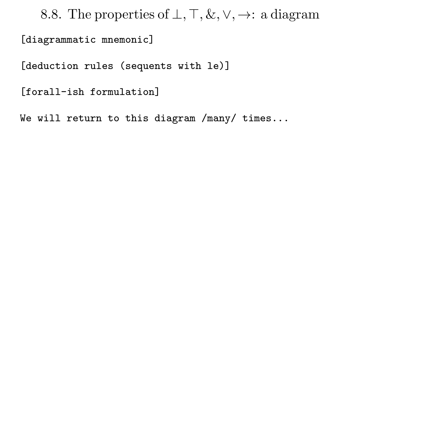8.8. The properties of  $\bot$ ,  $\top$ ,  $\&$ ,  $\lor$ ,  $\rightarrow$ : a diagram

[diagrammatic mnemonic]

[deduction rules (sequents with le)]

[forall-ish formulation]

We will return to this diagram /many/ times...